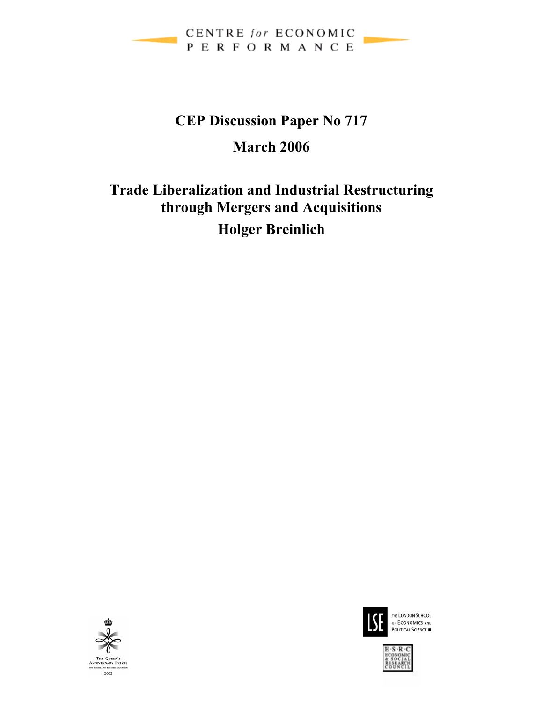

# **CEP Discussion Paper No 717 March 2006**

# **Trade Liberalization and Industrial Restructuring through Mergers and Acquisitions Holger Breinlich**





THE LONDON SCHOOL OF ECONOMICS AND

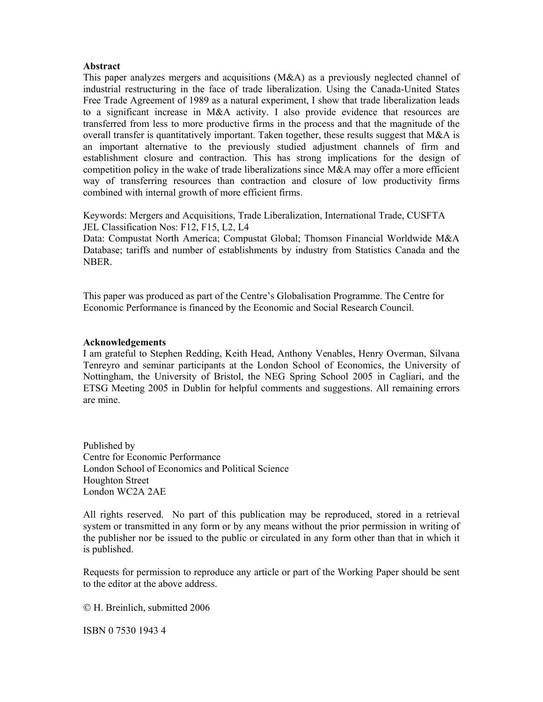#### **Abstract**

This paper analyzes mergers and acquisitions (M&A) as a previously neglected channel of industrial restructuring in the face of trade liberalization. Using the Canada-United States Free Trade Agreement of 1989 as a natural experiment, I show that trade liberalization leads to a significant increase in M&A activity. I also provide evidence that resources are transferred from less to more productive firms in the process and that the magnitude of the overall transfer is quantitatively important. Taken together, these results suggest that M&A is an important alternative to the previously studied adjustment channels of firm and establishment closure and contraction. This has strong implications for the design of competition policy in the wake of trade liberalizations since M&A may offer a more efficient way of transferring resources than contraction and closure of low productivity firms combined with internal growth of more efficient firms.

Keywords: Mergers and Acquisitions, Trade Liberalization, International Trade, CUSFTA JEL Classification Nos: F12, F15, L2, L4

Data: Compustat North America; Compustat Global; Thomson Financial Worldwide M&A Database; tariffs and number of establishments by industry from Statistics Canada and the NBER.

This paper was produced as part of the Centre's Globalisation Programme. The Centre for Economic Performance is financed by the Economic and Social Research Council.

#### **Acknowledgements**

I am grateful to Stephen Redding, Keith Head, Anthony Venables, Henry Overman, Silvana Tenreyro and seminar participants at the London School of Economics, the University of Nottingham, the University of Bristol, the NEG Spring School 2005 in Cagliari, and the ETSG Meeting 2005 in Dublin for helpful comments and suggestions. All remaining errors are mine.

Published by Centre for Economic Performance London School of Economics and Political Science Houghton Street London WC2A 2AE

All rights reserved. No part of this publication may be reproduced, stored in a retrieval system or transmitted in any form or by any means without the prior permission in writing of the publisher nor be issued to the public or circulated in any form other than that in which it is published.

Requests for permission to reproduce any article or part of the Working Paper should be sent to the editor at the above address.

© H. Breinlich, submitted 2006

ISBN 0 7530 1943 4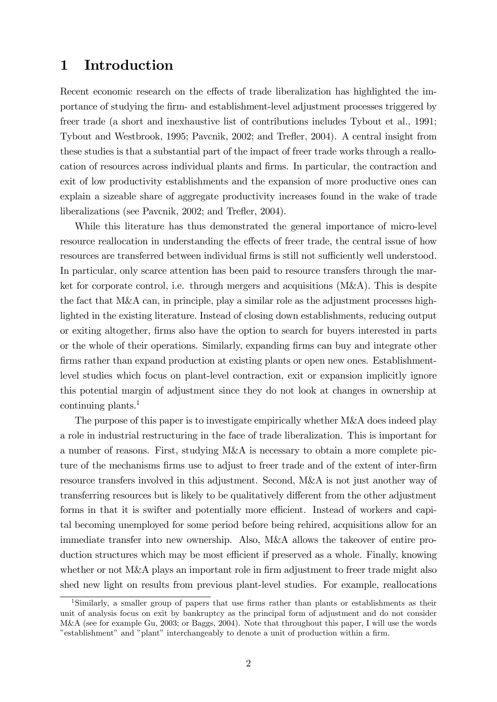# 1 Introduction

Recent economic research on the effects of trade liberalization has highlighted the importance of studying the Örm- and establishment-level adjustment processes triggered by freer trade (a short and inexhaustive list of contributions includes Tybout et al., 1991; Tybout and Westbrook, 1995; Pavcnik, 2002; and Trefler, 2004). A central insight from these studies is that a substantial part of the impact of freer trade works through a reallocation of resources across individual plants and Örms. In particular, the contraction and exit of low productivity establishments and the expansion of more productive ones can explain a sizeable share of aggregate productivity increases found in the wake of trade liberalizations (see Pavcnik, 2002; and Trefler, 2004).

While this literature has thus demonstrated the general importance of micro-level resource reallocation in understanding the effects of freer trade, the central issue of how resources are transferred between individual firms is still not sufficiently well understood. In particular, only scarce attention has been paid to resource transfers through the market for corporate control, i.e. through mergers and acquisitions (M&A). This is despite the fact that M&A can, in principle, play a similar role as the adjustment processes highlighted in the existing literature. Instead of closing down establishments, reducing output or exiting altogether, Örms also have the option to search for buyers interested in parts or the whole of their operations. Similarly, expanding Örms can buy and integrate other firms rather than expand production at existing plants or open new ones. Establishmentlevel studies which focus on plant-level contraction, exit or expansion implicitly ignore this potential margin of adjustment since they do not look at changes in ownership at continuing plants.<sup>1</sup>

The purpose of this paper is to investigate empirically whether M&A does indeed play a role in industrial restructuring in the face of trade liberalization. This is important for a number of reasons. First, studying M&A is necessary to obtain a more complete picture of the mechanisms firms use to adjust to freer trade and of the extent of inter-firm resource transfers involved in this adjustment. Second, M&A is not just another way of transferring resources but is likely to be qualitatively different from the other adjustment forms in that it is swifter and potentially more efficient. Instead of workers and capital becoming unemployed for some period before being rehired, acquisitions allow for an immediate transfer into new ownership. Also, M&A allows the takeover of entire production structures which may be most efficient if preserved as a whole. Finally, knowing whether or not M&A plays an important role in firm adjustment to freer trade might also shed new light on results from previous plant-level studies. For example, reallocations

<sup>&</sup>lt;sup>1</sup>Similarly, a smaller group of papers that use firms rather than plants or establishments as their unit of analysis focus on exit by bankruptcy as the principal form of adjustment and do not consider M&A (see for example Gu, 2003; or Baggs, 2004). Note that throughout this paper, I will use the words "establishment" and "plant" interchangeably to denote a unit of production within a firm.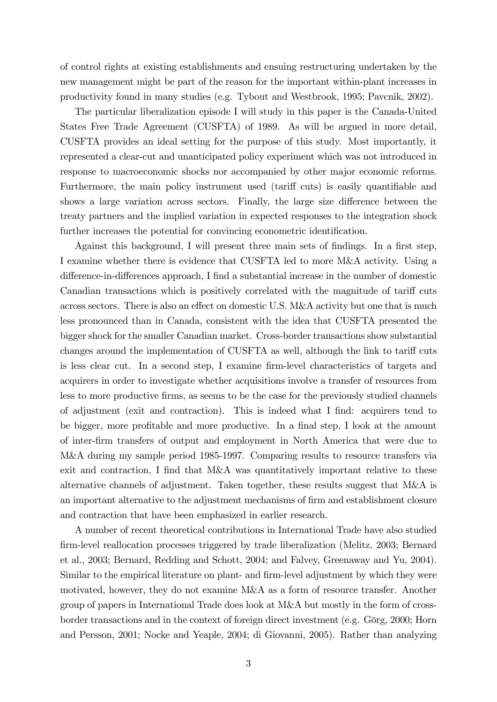of control rights at existing establishments and ensuing restructuring undertaken by the new management might be part of the reason for the important within-plant increases in productivity found in many studies (e.g. Tybout and Westbrook, 1995; Pavcnik, 2002).

The particular liberalization episode I will study in this paper is the Canada-United States Free Trade Agreement (CUSFTA) of 1989. As will be argued in more detail, CUSFTA provides an ideal setting for the purpose of this study. Most importantly, it represented a clear-cut and unanticipated policy experiment which was not introduced in response to macroeconomic shocks nor accompanied by other major economic reforms. Furthermore, the main policy instrument used (tariff cuts) is easily quantifiable and shows a large variation across sectors. Finally, the large size difference between the treaty partners and the implied variation in expected responses to the integration shock further increases the potential for convincing econometric identification.

Against this background, I will present three main sets of findings. In a first step, I examine whether there is evidence that CUSFTA led to more M&A activity. Using a difference-in-differences approach, I find a substantial increase in the number of domestic Canadian transactions which is positively correlated with the magnitude of tariff cuts across sectors. There is also an effect on domestic U.S. M&A activity but one that is much less pronounced than in Canada, consistent with the idea that CUSFTA presented the bigger shock for the smaller Canadian market. Cross-border transactions show substantial changes around the implementation of CUSFTA as well, although the link to tariff cuts is less clear cut. In a second step, I examine firm-level characteristics of targets and acquirers in order to investigate whether acquisitions involve a transfer of resources from less to more productive firms, as seems to be the case for the previously studied channels of adjustment (exit and contraction). This is indeed what I Önd: acquirers tend to be bigger, more profitable and more productive. In a final step, I look at the amount of inter-Örm transfers of output and employment in North America that were due to M&A during my sample period 1985-1997. Comparing results to resource transfers via exit and contraction, I find that  $M\&A$  was quantitatively important relative to these alternative channels of adjustment. Taken together, these results suggest that M&A is an important alternative to the adjustment mechanisms of firm and establishment closure and contraction that have been emphasized in earlier research.

A number of recent theoretical contributions in International Trade have also studied Örm-level reallocation processes triggered by trade liberalization (Melitz, 2003; Bernard et al., 2003; Bernard, Redding and Schott, 2004; and Falvey, Greenaway and Yu, 2004). Similar to the empirical literature on plant- and firm-level adjustment by which they were motivated, however, they do not examine M&A as a form of resource transfer. Another group of papers in International Trade does look at M&A but mostly in the form of crossborder transactions and in the context of foreign direct investment (e.g. Gˆrg, 2000; Horn and Persson, 2001; Nocke and Yeaple, 2004; di Giovanni, 2005). Rather than analyzing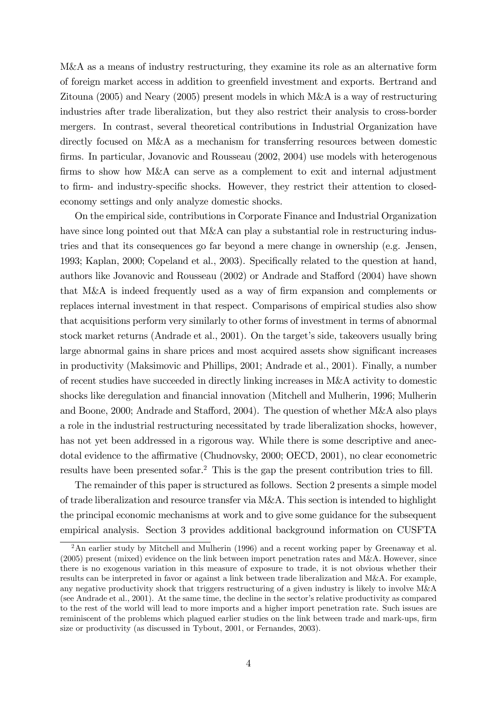M&A as a means of industry restructuring, they examine its role as an alternative form of foreign market access in addition to greenfield investment and exports. Bertrand and Zitouna (2005) and Neary (2005) present models in which M&A is a way of restructuring industries after trade liberalization, but they also restrict their analysis to cross-border mergers. In contrast, several theoretical contributions in Industrial Organization have directly focused on M&A as a mechanism for transferring resources between domestic firms. In particular, Jovanovic and Rousseau (2002, 2004) use models with heterogenous firms to show how M&A can serve as a complement to exit and internal adjustment to firm- and industry-specific shocks. However, they restrict their attention to closedeconomy settings and only analyze domestic shocks.

On the empirical side, contributions in Corporate Finance and Industrial Organization have since long pointed out that M&A can play a substantial role in restructuring industries and that its consequences go far beyond a mere change in ownership (e.g. Jensen, 1993; Kaplan, 2000; Copeland et al., 2003). Specifically related to the question at hand, authors like Jovanovic and Rousseau  $(2002)$  or Andrade and Stafford  $(2004)$  have shown that M&A is indeed frequently used as a way of firm expansion and complements or replaces internal investment in that respect. Comparisons of empirical studies also show that acquisitions perform very similarly to other forms of investment in terms of abnormal stock market returns (Andrade et al.,  $2001$ ). On the target's side, takeovers usually bring large abnormal gains in share prices and most acquired assets show significant increases in productivity (Maksimovic and Phillips, 2001; Andrade et al., 2001). Finally, a number of recent studies have succeeded in directly linking increases in M&A activity to domestic shocks like deregulation and financial innovation (Mitchell and Mulherin, 1996; Mulherin and Boone, 2000; Andrade and Stafford, 2004). The question of whether  $M&A$  also plays a role in the industrial restructuring necessitated by trade liberalization shocks, however, has not yet been addressed in a rigorous way. While there is some descriptive and anecdotal evidence to the affirmative (Chudnovsky, 2000; OECD, 2001), no clear econometric results have been presented sofar.<sup>2</sup> This is the gap the present contribution tries to fill.

The remainder of this paper is structured as follows. Section 2 presents a simple model of trade liberalization and resource transfer via M&A. This section is intended to highlight the principal economic mechanisms at work and to give some guidance for the subsequent empirical analysis. Section 3 provides additional background information on CUSFTA

<sup>&</sup>lt;sup>2</sup>An earlier study by Mitchell and Mulherin (1996) and a recent working paper by Greenaway et al. (2005) present (mixed) evidence on the link between import penetration rates and M&A. However, since there is no exogenous variation in this measure of exposure to trade, it is not obvious whether their results can be interpreted in favor or against a link between trade liberalization and M&A. For example, any negative productivity shock that triggers restructuring of a given industry is likely to involve M&A (see Andrade et al., 2001). At the same time, the decline in the sector's relative productivity as compared to the rest of the world will lead to more imports and a higher import penetration rate. Such issues are reminiscent of the problems which plagued earlier studies on the link between trade and mark-ups, firm size or productivity (as discussed in Tybout, 2001, or Fernandes, 2003).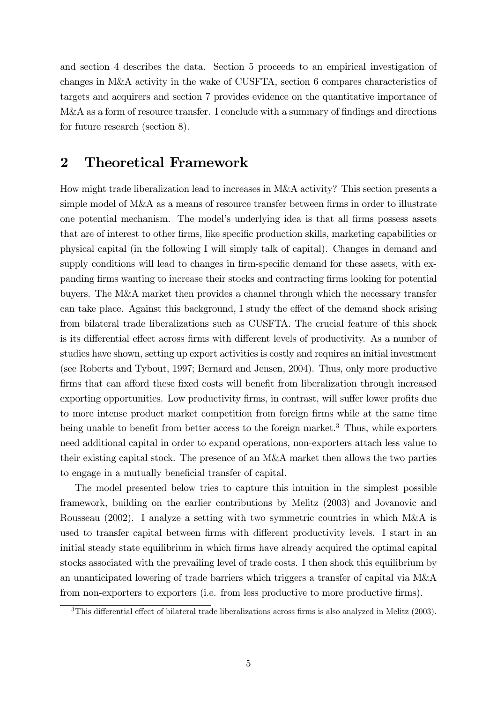and section 4 describes the data. Section 5 proceeds to an empirical investigation of changes in M&A activity in the wake of CUSFTA, section 6 compares characteristics of targets and acquirers and section 7 provides evidence on the quantitative importance of M&A as a form of resource transfer. I conclude with a summary of findings and directions for future research (section 8).

# 2 Theoretical Framework

How might trade liberalization lead to increases in M&A activity? This section presents a simple model of M&A as a means of resource transfer between firms in order to illustrate one potential mechanism. The model's underlying idea is that all firms possess assets that are of interest to other firms, like specific production skills, marketing capabilities or physical capital (in the following I will simply talk of capital). Changes in demand and supply conditions will lead to changes in firm-specific demand for these assets, with expanding firms wanting to increase their stocks and contracting firms looking for potential buyers. The M&A market then provides a channel through which the necessary transfer can take place. Against this background, I study the effect of the demand shock arising from bilateral trade liberalizations such as CUSFTA. The crucial feature of this shock is its differential effect across firms with different levels of productivity. As a number of studies have shown, setting up export activities is costly and requires an initial investment (see Roberts and Tybout, 1997; Bernard and Jensen, 2004). Thus, only more productive firms that can afford these fixed costs will benefit from liberalization through increased exporting opportunities. Low productivity firms, in contrast, will suffer lower profits due to more intense product market competition from foreign firms while at the same time being unable to benefit from better access to the foreign market.<sup>3</sup> Thus, while exporters need additional capital in order to expand operations, non-exporters attach less value to their existing capital stock. The presence of an M&A market then allows the two parties to engage in a mutually beneficial transfer of capital.

The model presented below tries to capture this intuition in the simplest possible framework, building on the earlier contributions by Melitz (2003) and Jovanovic and Rousseau (2002). I analyze a setting with two symmetric countries in which M&A is used to transfer capital between firms with different productivity levels. I start in an initial steady state equilibrium in which firms have already acquired the optimal capital stocks associated with the prevailing level of trade costs. I then shock this equilibrium by an unanticipated lowering of trade barriers which triggers a transfer of capital via M&A from non-exporters to exporters (i.e. from less productive to more productive firms).

 $3$ This differential effect of bilateral trade liberalizations across firms is also analyzed in Melitz (2003).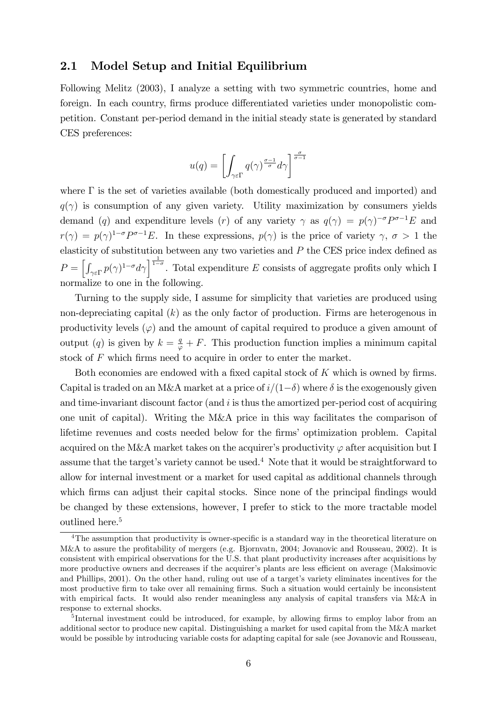## 2.1 Model Setup and Initial Equilibrium

Following Melitz (2003), I analyze a setting with two symmetric countries, home and foreign. In each country, firms produce differentiated varieties under monopolistic competition. Constant per-period demand in the initial steady state is generated by standard CES preferences:

$$
u(q) = \left[ \int_{\gamma \varepsilon \Gamma} q(\gamma)^{\frac{\sigma - 1}{\sigma}} d\gamma \right]^{\frac{\sigma}{\sigma - 1}}
$$

where  $\Gamma$  is the set of varieties available (both domestically produced and imported) and  $q(\gamma)$  is consumption of any given variety. Utility maximization by consumers yields demand (q) and expenditure levels (r) of any variety  $\gamma$  as  $q(\gamma) = p(\gamma)^{-\sigma} P^{\sigma-1} E$  and  $r(\gamma) = p(\gamma)^{1-\sigma}P^{\sigma-1}E$ . In these expressions,  $p(\gamma)$  is the price of variety  $\gamma, \sigma > 1$  the elasticity of substitution between any two varieties and  $P$  the CES price index defined as  $P = \left[\int_{\gamma \in \Gamma} p(\gamma)^{1-\sigma} d\gamma\right]^{\frac{1}{1-\sigma}}$ . Total expenditure E consists of aggregate profits only which I normalize to one in the following.

Turning to the supply side, I assume for simplicity that varieties are produced using non-depreciating capital  $(k)$  as the only factor of production. Firms are heterogenous in productivity levels  $(\varphi)$  and the amount of capital required to produce a given amount of output (q) is given by  $k = \frac{q}{\varphi} + F$ . This production function implies a minimum capital stock of  $F$  which firms need to acquire in order to enter the market.

Both economies are endowed with a fixed capital stock of  $K$  which is owned by firms. Capital is traded on an M&A market at a price of  $i/(1-\delta)$  where  $\delta$  is the exogenously given and time-invariant discount factor (and i is thus the amortized per-period cost of acquiring one unit of capital). Writing the M&A price in this way facilitates the comparison of lifetime revenues and costs needed below for the firms' optimization problem. Capital acquired on the M&A market takes on the acquirer's productivity  $\varphi$  after acquisition but I assume that the target's variety cannot be used.<sup>4</sup> Note that it would be straightforward to allow for internal investment or a market for used capital as additional channels through which firms can adjust their capital stocks. Since none of the principal findings would be changed by these extensions, however, I prefer to stick to the more tractable model outlined here.<sup>5</sup>

 $4$ The assumption that productivity is owner-specific is a standard way in the theoretical literature on M&A to assure the profitability of mergers (e.g. Bjornvatn, 2004; Jovanovic and Rousseau, 2002). It is consistent with empirical observations for the U.S. that plant productivity increases after acquisitions by more productive owners and decreases if the acquirer's plants are less efficient on average (Maksimovic and Phillips, 2001). On the other hand, ruling out use of a target's variety eliminates incentives for the most productive firm to take over all remaining firms. Such a situation would certainly be inconsistent with empirical facts. It would also render meaningless any analysis of capital transfers via M&A in response to external shocks.

<sup>&</sup>lt;sup>5</sup>Internal investment could be introduced, for example, by allowing firms to employ labor from an additional sector to produce new capital. Distinguishing a market for used capital from the M&A market would be possible by introducing variable costs for adapting capital for sale (see Jovanovic and Rousseau,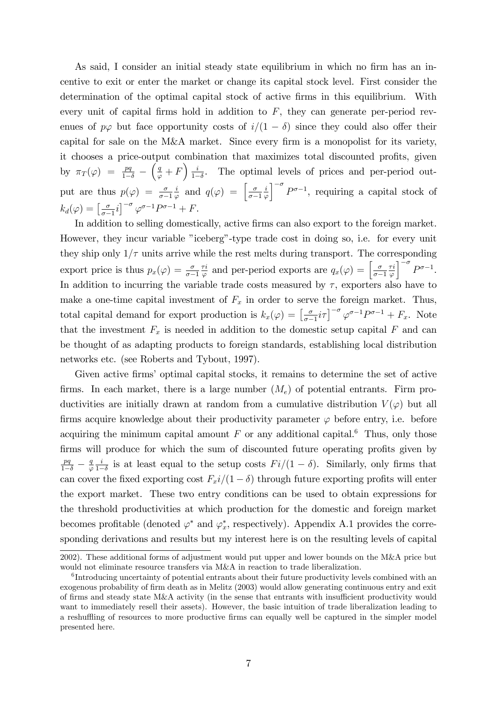As said, I consider an initial steady state equilibrium in which no firm has an incentive to exit or enter the market or change its capital stock level. First consider the determination of the optimal capital stock of active firms in this equilibrium. With every unit of capital firms hold in addition to  $F$ , they can generate per-period revenues of  $p\varphi$  but face opportunity costs of  $i/(1 - \delta)$  since they could also offer their capital for sale on the M&A market. Since every firm is a monopolist for its variety, it chooses a price-output combination that maximizes total discounted profits, given by  $\pi_T(\varphi) = \frac{pq}{1-\delta}$  - $\left(\frac{q}{\varphi}+F\right)\frac{i}{1-\pi}$  $\frac{i}{1-\delta}$ . The optimal levels of prices and per-period output are thus  $p(\varphi) = \frac{\sigma}{\sigma - 1}$ i  $\frac{i}{\varphi}$  and  $q(\varphi) = \left[\frac{\sigma}{\sigma -}\right]$  $\sigma-1$ i  $\varphi$  $\int_{0}^{-\sigma} P^{\sigma-1}$ , requiring a capital stock of  $k_d(\varphi) = \left[\frac{\sigma}{\sigma -}\right]$  $\left[\frac{\sigma}{\sigma-1}i\right]^{-\sigma}\varphi^{\sigma-1}P^{\sigma-1}+F.$ 

In addition to selling domestically, active firms can also export to the foreign market. However, they incur variable "iceberg"-type trade cost in doing so, i.e. for every unit they ship only  $1/\tau$  units arrive while the rest melts during transport. The corresponding export price is thus  $p_x(\varphi) = \frac{\sigma}{\sigma - 1}$  $\tau i$  $\frac{\sigma_i}{\varphi}$  and per-period exports are  $q_x(\varphi) = \begin{bmatrix} \frac{\sigma_i}{\sigma - 1} & \cdots & \sigma_i \end{bmatrix}$  $\sigma-1$  $\tau i$  $\varphi$  $\int_{0}^{-\sigma} P^{\sigma-1}.$ In addition to incurring the variable trade costs measured by  $\tau$ , exporters also have to make a one-time capital investment of  $F_x$  in order to serve the foreign market. Thus, total capital demand for export production is  $k_x(\varphi) = \left[\frac{\sigma}{\sigma}\right]$  $\int_{\sigma-1}^{\sigma} i\tau$   $\int_{0}^{\sigma-1} P^{\sigma-1} + F_x$ . Note that the investment  $F_x$  is needed in addition to the domestic setup capital F and can be thought of as adapting products to foreign standards, establishing local distribution networks etc. (see Roberts and Tybout, 1997).

Given active firms' optimal capital stocks, it remains to determine the set of active firms. In each market, there is a large number  $(M_e)$  of potential entrants. Firm productivities are initially drawn at random from a cumulative distribution  $V(\varphi)$  but all firms acquire knowledge about their productivity parameter  $\varphi$  before entry, i.e. before acquiring the minimum capital amount  $F$  or any additional capital.<sup>6</sup> Thus, only those firms will produce for which the sum of discounted future operating profits given by  $\frac{pq}{1-\delta} - \frac{q}{\varphi}$  $\varphi$ i  $\frac{i}{1-\delta}$  is at least equal to the setup costs  $Fi/(1-\delta)$ . Similarly, only firms that can cover the fixed exporting cost  $F_x$ i/(1 –  $\delta$ ) through future exporting profits will enter the export market. These two entry conditions can be used to obtain expressions for the threshold productivities at which production for the domestic and foreign market becomes profitable (denoted  $\varphi^*$  and  $\varphi^*_{x}$ , respectively). Appendix A.1 provides the corresponding derivations and results but my interest here is on the resulting levels of capital

<sup>2002).</sup> These additional forms of adjustment would put upper and lower bounds on the M&A price but would not eliminate resource transfers via M&A in reaction to trade liberalization.

<sup>&</sup>lt;sup>6</sup>Introducing uncertainty of potential entrants about their future productivity levels combined with an exogenous probability of firm death as in Melitz (2003) would allow generating continuous entry and exit of firms and steady state M&A activity (in the sense that entrants with insufficient productivity would want to immediately resell their assets). However, the basic intuition of trade liberalization leading to a reshuffling of resources to more productive firms can equally well be captured in the simpler model presented here.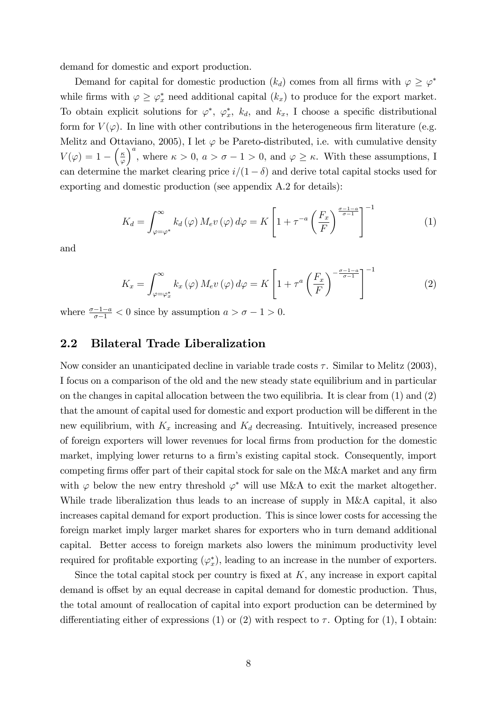demand for domestic and export production.

Demand for capital for domestic production  $(k_d)$  comes from all firms with  $\varphi \geq \varphi^*$ while firms with  $\varphi \geq \varphi_x^*$  need additional capital  $(k_x)$  to produce for the export market. To obtain explicit solutions for  $\varphi^*, \varphi^*_x$ ,  $k_d$ , and  $k_x$ , I choose a specific distributional form for  $V(\varphi)$ . In line with other contributions in the heterogeneous firm literature (e.g. Melitz and Ottaviano, 2005), I let  $\varphi$  be Pareto-distributed, i.e. with cumulative density  $V(\varphi) = 1 - \left(\frac{\kappa}{\varphi}\right)$  $\varphi$ )<sup>a</sup>, where  $\kappa > 0$ ,  $a > \sigma - 1 > 0$ , and  $\varphi \geq \kappa$ . With these assumptions, I can determine the market clearing price  $i/(1 - \delta)$  and derive total capital stocks used for exporting and domestic production (see appendix A.2 for details):

$$
K_d = \int_{\varphi = \varphi^*}^{\infty} k_d(\varphi) M_e v(\varphi) d\varphi = K \left[ 1 + \tau^{-a} \left( \frac{F_x}{F} \right)^{\frac{\sigma - 1 - a}{\sigma - 1}} \right]^{-1} \tag{1}
$$

and

$$
K_x = \int_{\varphi = \varphi_x^*}^{\infty} k_x(\varphi) M_e v(\varphi) d\varphi = K \left[ 1 + \tau^a \left( \frac{F_x}{F} \right)^{-\frac{\sigma - 1 - a}{\sigma - 1}} \right]^{-1}
$$
(2)

where  $\frac{\sigma-1-a}{\sigma-1} < 0$  since by assumption  $a > \sigma - 1 > 0$ .

## 2.2 Bilateral Trade Liberalization

Now consider an unanticipated decline in variable trade costs  $\tau$ . Similar to Melitz (2003), I focus on a comparison of the old and the new steady state equilibrium and in particular on the changes in capital allocation between the two equilibria. It is clear from (1) and (2) that the amount of capital used for domestic and export production will be different in the new equilibrium, with  $K_x$  increasing and  $K_d$  decreasing. Intuitively, increased presence of foreign exporters will lower revenues for local firms from production for the domestic market, implying lower returns to a firm's existing capital stock. Consequently, import competing firms offer part of their capital stock for sale on the M&A market and any firm with  $\varphi$  below the new entry threshold  $\varphi^*$  will use M&A to exit the market altogether. While trade liberalization thus leads to an increase of supply in M&A capital, it also increases capital demand for export production. This is since lower costs for accessing the foreign market imply larger market shares for exporters who in turn demand additional capital. Better access to foreign markets also lowers the minimum productivity level required for profitable exporting  $(\varphi_x^*)$ , leading to an increase in the number of exporters.

Since the total capital stock per country is fixed at  $K$ , any increase in export capital demand is offset by an equal decrease in capital demand for domestic production. Thus, the total amount of reallocation of capital into export production can be determined by differentiating either of expressions (1) or (2) with respect to  $\tau$ . Opting for (1), I obtain: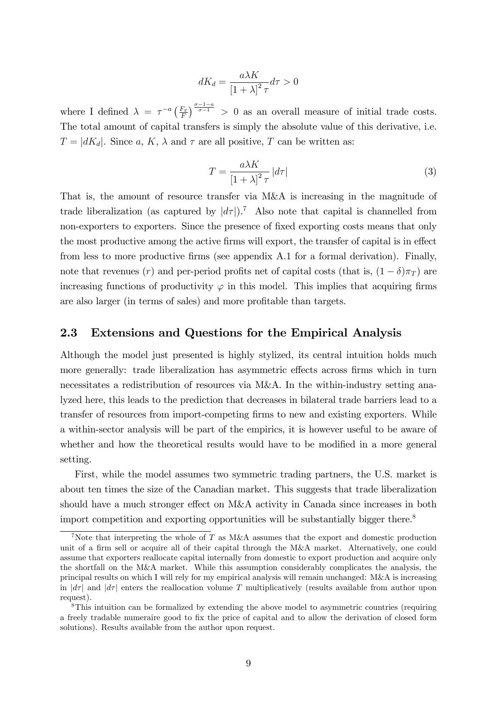$$
dK_d = \frac{a\lambda K}{\left[1+\lambda\right]^2 \tau} d\tau > 0
$$

where I defined  $\lambda = \tau^{-a} \left( \frac{F_x}{F_x} \right)$  $\frac{F_x}{F}$   $\int_{0}^{\frac{\pi}{\sigma-1}}$  > 0 as an overall measure of initial trade costs. The total amount of capital transfers is simply the absolute value of this derivative, i.e.  $T = |dK_d|$ . Since a, K,  $\lambda$  and  $\tau$  are all positive, T can be written as:

$$
T = \frac{a\lambda K}{\left[1 + \lambda\right]^2 \tau} \left|d\tau\right| \tag{3}
$$

That is, the amount of resource transfer via M&A is increasing in the magnitude of trade liberalization (as captured by  $|d\tau|$ ).<sup>7</sup> Also note that capital is channelled from non-exporters to exporters. Since the presence of fixed exporting costs means that only the most productive among the active firms will export, the transfer of capital is in effect from less to more productive firms (see appendix A.1 for a formal derivation). Finally, note that revenues (r) and per-period profits net of capital costs (that is,  $(1 - \delta)\pi_T$ ) are increasing functions of productivity  $\varphi$  in this model. This implies that acquiring firms are also larger (in terms of sales) and more profitable than targets.

## 2.3 Extensions and Questions for the Empirical Analysis

Although the model just presented is highly stylized, its central intuition holds much more generally: trade liberalization has asymmetric effects across firms which in turn necessitates a redistribution of resources via M&A. In the within-industry setting analyzed here, this leads to the prediction that decreases in bilateral trade barriers lead to a transfer of resources from import-competing firms to new and existing exporters. While a within-sector analysis will be part of the empirics, it is however useful to be aware of whether and how the theoretical results would have to be modified in a more general setting.

First, while the model assumes two symmetric trading partners, the U.S. market is about ten times the size of the Canadian market. This suggests that trade liberalization should have a much stronger effect on  $M\&\Lambda$  activity in Canada since increases in both import competition and exporting opportunities will be substantially bigger there.<sup>8</sup>

<sup>&</sup>lt;sup>7</sup>Note that interpreting the whole of T as M&A assumes that the export and domestic production unit of a firm sell or acquire all of their capital through the M&A market. Alternatively, one could assume that exporters reallocate capital internally from domestic to export production and acquire only the shortfall on the M&A market. While this assumption considerably complicates the analysis, the principal results on which I will rely for my empirical analysis will remain unchanged: M&A is increasing in  $\left| d\tau \right|$  and  $\left| d\tau \right|$  enters the reallocation volume T multiplicatively (results available from author upon request).

<sup>&</sup>lt;sup>8</sup>This intuition can be formalized by extending the above model to asymmetric countries (requiring a freely tradable numeraire good to fix the price of capital and to allow the derivation of closed form solutions). Results available from the author upon request.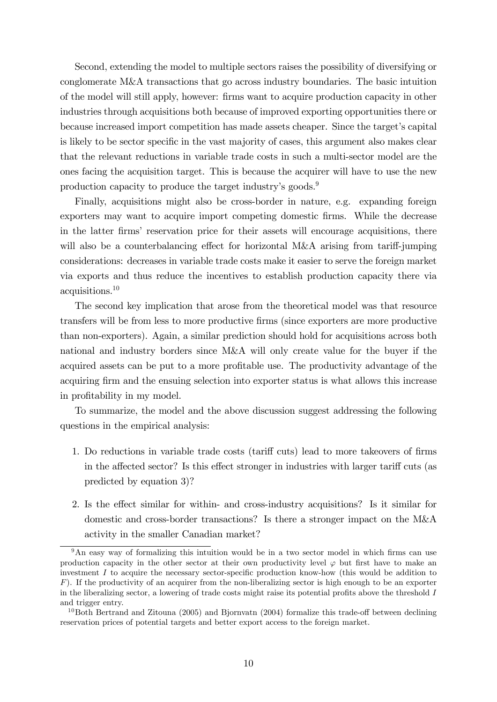Second, extending the model to multiple sectors raises the possibility of diversifying or conglomerate M&A transactions that go across industry boundaries. The basic intuition of the model will still apply, however: Örms want to acquire production capacity in other industries through acquisitions both because of improved exporting opportunities there or because increased import competition has made assets cheaper. Since the target's capital is likely to be sector specific in the vast majority of cases, this argument also makes clear that the relevant reductions in variable trade costs in such a multi-sector model are the ones facing the acquisition target. This is because the acquirer will have to use the new production capacity to produce the target industry's goods.<sup>9</sup>

Finally, acquisitions might also be cross-border in nature, e.g. expanding foreign exporters may want to acquire import competing domestic Örms. While the decrease in the latter firms' reservation price for their assets will encourage acquisitions, there will also be a counterbalancing effect for horizontal M&A arising from tariff-jumping considerations: decreases in variable trade costs make it easier to serve the foreign market via exports and thus reduce the incentives to establish production capacity there via acquisitions.<sup>10</sup>

The second key implication that arose from the theoretical model was that resource transfers will be from less to more productive Örms (since exporters are more productive than non-exporters). Again, a similar prediction should hold for acquisitions across both national and industry borders since M&A will only create value for the buyer if the acquired assets can be put to a more profitable use. The productivity advantage of the acquiring firm and the ensuing selection into exporter status is what allows this increase in profitability in my model.

To summarize, the model and the above discussion suggest addressing the following questions in the empirical analysis:

- 1. Do reductions in variable trade costs (tariff cuts) lead to more takeovers of firms in the affected sector? Is this effect stronger in industries with larger tariff cuts (as predicted by equation 3)?
- 2. Is the effect similar for within- and cross-industry acquisitions? Is it similar for domestic and cross-border transactions? Is there a stronger impact on the M&A activity in the smaller Canadian market?

<sup>&</sup>lt;sup>9</sup>An easy way of formalizing this intuition would be in a two sector model in which firms can use production capacity in the other sector at their own productivity level  $\varphi$  but first have to make an investment  $I$  to acquire the necessary sector-specific production know-how (this would be addition to  $F$ ). If the productivity of an acquirer from the non-liberalizing sector is high enough to be an exporter in the liberalizing sector, a lowering of trade costs might raise its potential profits above the threshold  $I$ and trigger entry.

 $10$ Both Bertrand and Zitouna (2005) and Bjornvatn (2004) formalize this trade-off between declining reservation prices of potential targets and better export access to the foreign market.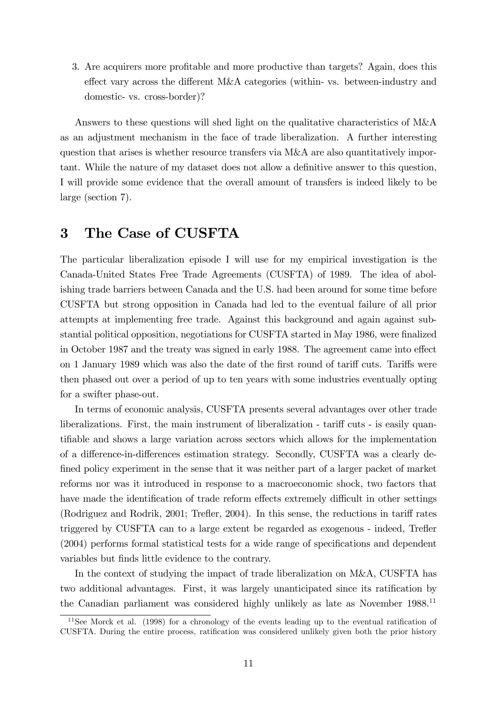3. Are acquirers more profitable and more productive than targets? Again, does this effect vary across the different  $M&A$  categories (within- vs. between-industry and domestic- vs. cross-border)?

Answers to these questions will shed light on the qualitative characteristics of M&A as an adjustment mechanism in the face of trade liberalization. A further interesting question that arises is whether resource transfers via M&A are also quantitatively important. While the nature of my dataset does not allow a definitive answer to this question, I will provide some evidence that the overall amount of transfers is indeed likely to be large (section 7).

# 3 The Case of CUSFTA

The particular liberalization episode I will use for my empirical investigation is the Canada-United States Free Trade Agreements (CUSFTA) of 1989. The idea of abolishing trade barriers between Canada and the U.S. had been around for some time before CUSFTA but strong opposition in Canada had led to the eventual failure of all prior attempts at implementing free trade. Against this background and again against substantial political opposition, negotiations for CUSFTA started in May 1986, were finalized in October 1987 and the treaty was signed in early 1988. The agreement came into effect on 1 January 1989 which was also the date of the first round of tariff cuts. Tariffs were then phased out over a period of up to ten years with some industries eventually opting for a swifter phase-out.

In terms of economic analysis, CUSFTA presents several advantages over other trade liberalizations. First, the main instrument of liberalization - tariff cuts - is easily quantifiable and shows a large variation across sectors which allows for the implementation of a difference-in-differences estimation strategy. Secondly, CUSFTA was a clearly defined policy experiment in the sense that it was neither part of a larger packet of market reforms nor was it introduced in response to a macroeconomic shock, two factors that have made the identification of trade reform effects extremely difficult in other settings (Rodriguez and Rodrik,  $2001$ ; Trefler,  $2004$ ). In this sense, the reductions in tariff rates triggered by CUSFTA can to a large extent be regarded as exogenous - indeed, Trefler  $(2004)$  performs formal statistical tests for a wide range of specifications and dependent variables but Önds little evidence to the contrary.

In the context of studying the impact of trade liberalization on M&A, CUSFTA has two additional advantages. First, it was largely unanticipated since its ratification by the Canadian parliament was considered highly unlikely as late as November 1988.<sup>11</sup>

 $11$ See Morck et al. (1998) for a chronology of the events leading up to the eventual ratification of CUSFTA. During the entire process, ratification was considered unlikely given both the prior history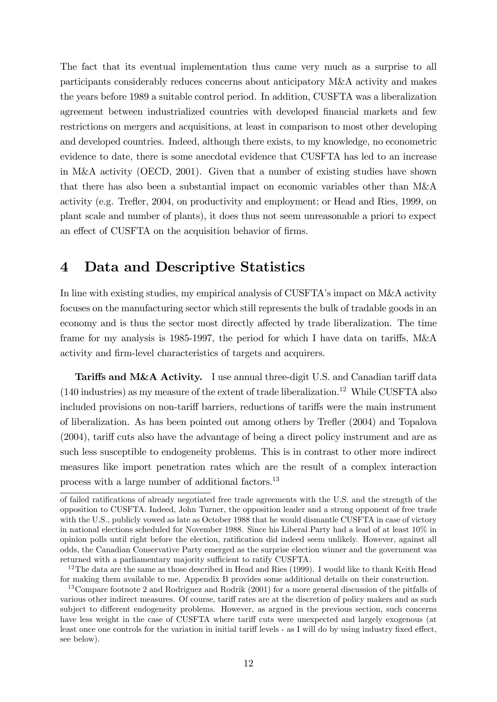The fact that its eventual implementation thus came very much as a surprise to all participants considerably reduces concerns about anticipatory M&A activity and makes the years before 1989 a suitable control period. In addition, CUSFTA was a liberalization agreement between industrialized countries with developed financial markets and few restrictions on mergers and acquisitions, at least in comparison to most other developing and developed countries. Indeed, although there exists, to my knowledge, no econometric evidence to date, there is some anecdotal evidence that CUSFTA has led to an increase in M&A activity (OECD, 2001). Given that a number of existing studies have shown that there has also been a substantial impact on economic variables other than M&A activity (e.g. Treáer, 2004, on productivity and employment; or Head and Ries, 1999, on plant scale and number of plants), it does thus not seem unreasonable a priori to expect an effect of CUSFTA on the acquisition behavior of firms.

# 4 Data and Descriptive Statistics

In line with existing studies, my empirical analysis of CUSFTA's impact on M&A activity focuses on the manufacturing sector which still represents the bulk of tradable goods in an economy and is thus the sector most directly affected by trade liberalization. The time frame for my analysis is 1985-1997, the period for which I have data on tariffs,  $M\&A$ activity and firm-level characteristics of targets and acquirers.

Tariffs and M&A Activity. I use annual three-digit U.S. and Canadian tariff data  $(140 \text{ industries})$  as my measure of the extent of trade liberalization.<sup>12</sup> While CUSFTA also included provisions on non-tariff barriers, reductions of tariffs were the main instrument of liberalization. As has been pointed out among others by Treáer (2004) and Topalova  $(2004)$ , tariff cuts also have the advantage of being a direct policy instrument and are as such less susceptible to endogeneity problems. This is in contrast to other more indirect measures like import penetration rates which are the result of a complex interaction process with a large number of additional factors.<sup>13</sup>

of failed ratifications of already negotiated free trade agreements with the U.S. and the strength of the opposition to CUSFTA. Indeed, John Turner, the opposition leader and a strong opponent of free trade with the U.S., publicly vowed as late as October 1988 that he would dismantle CUSFTA in case of victory in national elections scheduled for November 1988. Since his Liberal Party had a lead of at least 10% in opinion polls until right before the election, ratification did indeed seem unlikely. However, against all odds, the Canadian Conservative Party emerged as the surprise election winner and the government was returned with a parliamentary majority sufficient to ratify CUSFTA.

<sup>&</sup>lt;sup>12</sup>The data are the same as those described in Head and Ries (1999). I would like to thank Keith Head for making them available to me. Appendix B provides some additional details on their construction.

<sup>&</sup>lt;sup>13</sup>Compare footnote 2 and Rodriguez and Rodrik (2001) for a more general discussion of the pitfalls of various other indirect measures. Of course, tariff rates are at the discretion of policy makers and as such subject to different endogeneity problems. However, as argued in the previous section, such concerns have less weight in the case of CUSFTA where tariff cuts were unexpected and largely exogenous (at least once one controls for the variation in initial tariff levels - as I will do by using industry fixed effect, see below).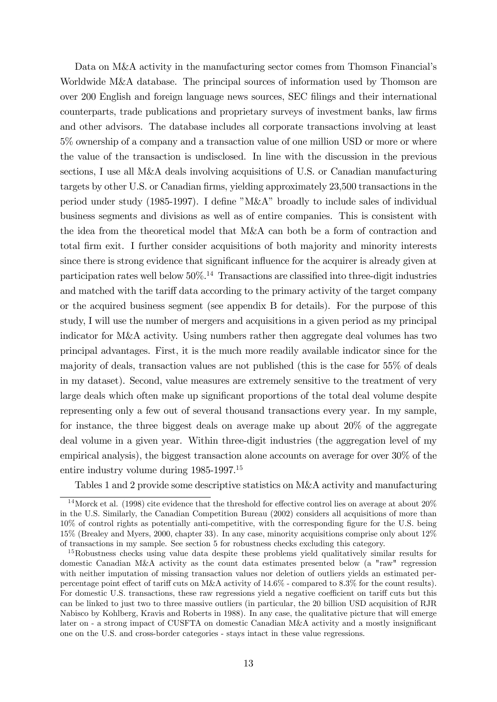Data on M&A activity in the manufacturing sector comes from Thomson Financial's Worldwide M&A database. The principal sources of information used by Thomson are over 200 English and foreign language news sources, SEC Ölings and their international counterparts, trade publications and proprietary surveys of investment banks, law firms and other advisors. The database includes all corporate transactions involving at least 5% ownership of a company and a transaction value of one million USD or more or where the value of the transaction is undisclosed. In line with the discussion in the previous sections, I use all M&A deals involving acquisitions of U.S. or Canadian manufacturing targets by other U.S. or Canadian firms, yielding approximately 23,500 transactions in the period under study  $(1985-1997)$ . I define "M&A" broadly to include sales of individual business segments and divisions as well as of entire companies. This is consistent with the idea from the theoretical model that M&A can both be a form of contraction and total Örm exit. I further consider acquisitions of both majority and minority interests since there is strong evidence that significant influence for the acquirer is already given at participation rates well below  $50\%$ .<sup>14</sup> Transactions are classified into three-digit industries and matched with the tariff data according to the primary activity of the target company or the acquired business segment (see appendix B for details). For the purpose of this study, I will use the number of mergers and acquisitions in a given period as my principal indicator for M&A activity. Using numbers rather then aggregate deal volumes has two principal advantages. First, it is the much more readily available indicator since for the majority of deals, transaction values are not published (this is the case for 55% of deals in my dataset). Second, value measures are extremely sensitive to the treatment of very large deals which often make up significant proportions of the total deal volume despite representing only a few out of several thousand transactions every year. In my sample, for instance, the three biggest deals on average make up about 20% of the aggregate deal volume in a given year. Within three-digit industries (the aggregation level of my empirical analysis), the biggest transaction alone accounts on average for over 30% of the entire industry volume during 1985-1997.<sup>15</sup>

Tables 1 and 2 provide some descriptive statistics on M&A activity and manufacturing

 $14$ Morck et al. (1998) cite evidence that the threshold for effective control lies on average at about  $20\%$ in the U.S. Similarly, the Canadian Competition Bureau (2002) considers all acquisitions of more than 10% of control rights as potentially anti-competitive, with the corresponding Ögure for the U.S. being 15% (Brealey and Myers, 2000, chapter 33). In any case, minority acquisitions comprise only about 12% of transactions in my sample. See section 5 for robustness checks excluding this category.

<sup>&</sup>lt;sup>15</sup>Robustness checks using value data despite these problems yield qualitatively similar results for domestic Canadian M&A activity as the count data estimates presented below (a "raw" regression with neither imputation of missing transaction values nor deletion of outliers yields an estimated perpercentage point effect of tariff cuts on M&A activity of  $14.6\%$  - compared to 8.3% for the count results). For domestic U.S. transactions, these raw regressions yield a negative coefficient on tariff cuts but this can be linked to just two to three massive outliers (in particular, the 20 billion USD acquisition of RJR Nabisco by Kohlberg, Kravis and Roberts in 1988). In any case, the qualitative picture that will emerge later on - a strong impact of CUSFTA on domestic Canadian M&A activity and a mostly insignificant one on the U.S. and cross-border categories - stays intact in these value regressions.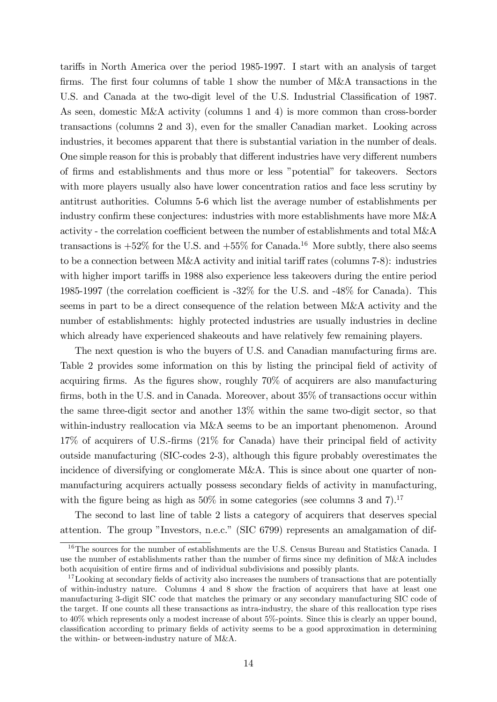tariffs in North America over the period 1985-1997. I start with an analysis of target firms. The first four columns of table 1 show the number of  $M\&A$  transactions in the U.S. and Canada at the two-digit level of the U.S. Industrial Classification of 1987. As seen, domestic M&A activity (columns 1 and 4) is more common than cross-border transactions (columns 2 and 3), even for the smaller Canadian market. Looking across industries, it becomes apparent that there is substantial variation in the number of deals. One simple reason for this is probably that different industries have very different numbers of Örms and establishments and thus more or less îpotentialî for takeovers. Sectors with more players usually also have lower concentration ratios and face less scrutiny by antitrust authorities. Columns 5-6 which list the average number of establishments per industry confirm these conjectures: industries with more establishments have more M&A activity - the correlation coefficient between the number of establishments and total  $M\&A$ transactions is  $+52\%$  for the U.S. and  $+55\%$  for Canada.<sup>16</sup> More subtly, there also seems to be a connection between M&A activity and initial tariff rates (columns  $7-8$ ): industries with higher import tariffs in 1988 also experience less takeovers during the entire period 1985-1997 (the correlation coefficient is  $-32\%$  for the U.S. and  $-48\%$  for Canada). This seems in part to be a direct consequence of the relation between M&A activity and the number of establishments: highly protected industries are usually industries in decline which already have experienced shakeouts and have relatively few remaining players.

The next question is who the buyers of U.S. and Canadian manufacturing firms are. Table 2 provides some information on this by listing the principal field of activity of acquiring firms. As the figures show, roughly  $70\%$  of acquirers are also manufacturing firms, both in the U.S. and in Canada. Moreover, about  $35\%$  of transactions occur within the same three-digit sector and another 13% within the same two-digit sector, so that within-industry reallocation via M&A seems to be an important phenomenon. Around  $17\%$  of acquirers of U.S.-firms  $(21\%$  for Canada) have their principal field of activity outside manufacturing (SIC-codes 2-3), although this Ögure probably overestimates the incidence of diversifying or conglomerate M&A. This is since about one quarter of nonmanufacturing acquirers actually possess secondary fields of activity in manufacturing, with the figure being as high as  $50\%$  in some categories (see columns 3 and 7).<sup>17</sup>

The second to last line of table 2 lists a category of acquirers that deserves special attention. The group "Investors, n.e.c." (SIC 6799) represents an amalgamation of dif-

<sup>&</sup>lt;sup>16</sup>The sources for the number of establishments are the U.S. Census Bureau and Statistics Canada. I use the number of establishments rather than the number of firms since my definition of  $M&A$  includes both acquisition of entire firms and of individual subdivisions and possibly plants.

<sup>&</sup>lt;sup>17</sup>Looking at secondary fields of activity also increases the numbers of transactions that are potentially of within-industry nature. Columns 4 and 8 show the fraction of acquirers that have at least one manufacturing 3-digit SIC code that matches the primary or any secondary manufacturing SIC code of the target. If one counts all these transactions as intra-industry, the share of this reallocation type rises to 40% which represents only a modest increase of about 5%-points. Since this is clearly an upper bound, classification according to primary fields of activity seems to be a good approximation in determining the within- or between-industry nature of M&A.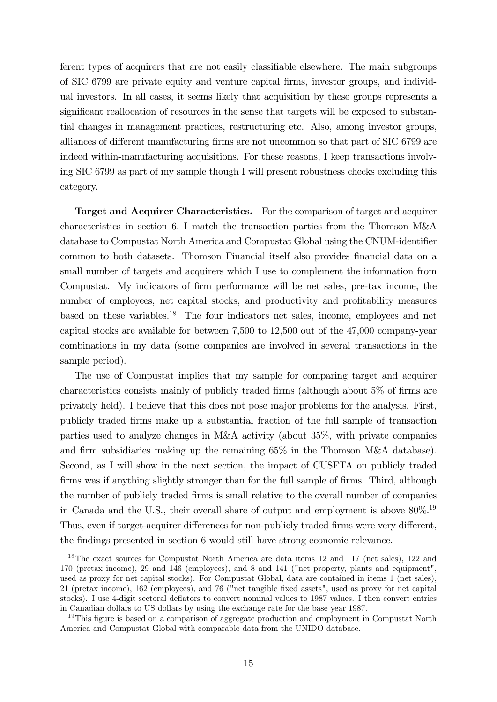ferent types of acquirers that are not easily classifiable elsewhere. The main subgroups of SIC 6799 are private equity and venture capital Örms, investor groups, and individual investors. In all cases, it seems likely that acquisition by these groups represents a significant reallocation of resources in the sense that targets will be exposed to substantial changes in management practices, restructuring etc. Also, among investor groups, alliances of different manufacturing firms are not uncommon so that part of SIC 6799 are indeed within-manufacturing acquisitions. For these reasons, I keep transactions involving SIC 6799 as part of my sample though I will present robustness checks excluding this category.

Target and Acquirer Characteristics. For the comparison of target and acquirer characteristics in section 6, I match the transaction parties from the Thomson M&A database to Compustat North America and Compustat Global using the CNUM-identifier common to both datasets. Thomson Financial itself also provides financial data on a small number of targets and acquirers which I use to complement the information from Compustat. My indicators of firm performance will be net sales, pre-tax income, the number of employees, net capital stocks, and productivity and profitability measures based on these variables.<sup>18</sup> The four indicators net sales, income, employees and net capital stocks are available for between 7,500 to 12,500 out of the 47,000 company-year combinations in my data (some companies are involved in several transactions in the sample period).

The use of Compustat implies that my sample for comparing target and acquirer characteristics consists mainly of publicly traded firms (although about  $5\%$  of firms are privately held). I believe that this does not pose major problems for the analysis. First, publicly traded Örms make up a substantial fraction of the full sample of transaction parties used to analyze changes in M&A activity (about 35%, with private companies and firm subsidiaries making up the remaining  $65\%$  in the Thomson M&A database). Second, as I will show in the next section, the impact of CUSFTA on publicly traded firms was if anything slightly stronger than for the full sample of firms. Third, although the number of publicly traded Örms is small relative to the overall number of companies in Canada and the U.S., their overall share of output and employment is above  $80\%$ .<sup>19</sup> Thus, even if target-acquirer differences for non-publicly traded firms were very different, the findings presented in section 6 would still have strong economic relevance.

<sup>&</sup>lt;sup>18</sup>The exact sources for Compustat North America are data items 12 and 117 (net sales), 122 and 170 (pretax income), 29 and 146 (employees), and 8 and 141 ("net property, plants and equipment", used as proxy for net capital stocks). For Compustat Global, data are contained in items 1 (net sales), 21 (pretax income), 162 (employees), and 76 ("net tangible Öxed assets", used as proxy for net capital stocks). I use 4-digit sectoral deáators to convert nominal values to 1987 values. I then convert entries in Canadian dollars to US dollars by using the exchange rate for the base year 1987.

<sup>&</sup>lt;sup>19</sup>This figure is based on a comparison of aggregate production and employment in Compustat North America and Compustat Global with comparable data from the UNIDO database.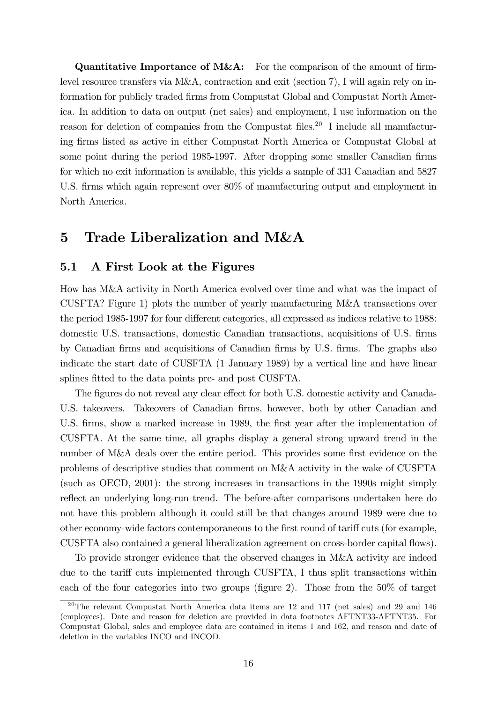**Quantitative Importance of M&A:** For the comparison of the amount of firmlevel resource transfers via  $M\&A$ , contraction and exit (section 7), I will again rely on information for publicly traded Örms from Compustat Global and Compustat North America. In addition to data on output (net sales) and employment, I use information on the reason for deletion of companies from the Compustat files.<sup>20</sup> I include all manufacturing Örms listed as active in either Compustat North America or Compustat Global at some point during the period 1985-1997. After dropping some smaller Canadian firms for which no exit information is available, this yields a sample of 331 Canadian and 5827 U.S. firms which again represent over 80% of manufacturing output and employment in North America.

# 5 Trade Liberalization and M&A

## 5.1 A First Look at the Figures

How has M&A activity in North America evolved over time and what was the impact of CUSFTA? Figure 1) plots the number of yearly manufacturing M&A transactions over the period 1985-1997 for four different categories, all expressed as indices relative to 1988: domestic U.S. transactions, domestic Canadian transactions, acquisitions of U.S. Örms by Canadian Örms and acquisitions of Canadian Örms by U.S. Örms. The graphs also indicate the start date of CUSFTA (1 January 1989) by a vertical line and have linear splines fitted to the data points pre- and post CUSFTA.

The figures do not reveal any clear effect for both U.S. domestic activity and Canada-U.S. takeovers. Takeovers of Canadian firms, however, both by other Canadian and U.S. firms, show a marked increase in 1989, the first year after the implementation of CUSFTA. At the same time, all graphs display a general strong upward trend in the number of M&A deals over the entire period. This provides some first evidence on the problems of descriptive studies that comment on M&A activity in the wake of CUSFTA (such as OECD, 2001): the strong increases in transactions in the 1990s might simply reflect an underlying long-run trend. The before-after comparisons undertaken here do not have this problem although it could still be that changes around 1989 were due to other economy-wide factors contemporaneous to the first round of tariff cuts (for example, CUSFTA also contained a general liberalization agreement on cross-border capital áows).

To provide stronger evidence that the observed changes in M&A activity are indeed due to the tariff cuts implemented through CUSFTA, I thus split transactions within each of the four categories into two groups (figure 2). Those from the  $50\%$  of target

<sup>&</sup>lt;sup>20</sup>The relevant Compustat North America data items are 12 and 117 (net sales) and 29 and 146 (employees). Date and reason for deletion are provided in data footnotes AFTNT33-AFTNT35. For Compustat Global, sales and employee data are contained in items 1 and 162, and reason and date of deletion in the variables INCO and INCOD.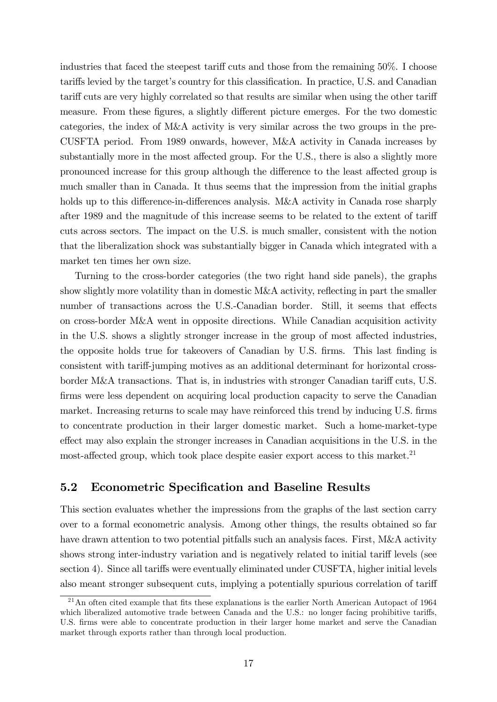industries that faced the steepest tariff cuts and those from the remaining  $50\%$ . I choose tariffs levied by the target's country for this classification. In practice, U.S. and Canadian tariff cuts are very highly correlated so that results are similar when using the other tariff measure. From these figures, a slightly different picture emerges. For the two domestic categories, the index of M&A activity is very similar across the two groups in the pre-CUSFTA period. From 1989 onwards, however, M&A activity in Canada increases by substantially more in the most affected group. For the U.S., there is also a slightly more pronounced increase for this group although the difference to the least affected group is much smaller than in Canada. It thus seems that the impression from the initial graphs holds up to this difference-in-differences analysis. M&A activity in Canada rose sharply after 1989 and the magnitude of this increase seems to be related to the extent of tariff cuts across sectors. The impact on the U.S. is much smaller, consistent with the notion that the liberalization shock was substantially bigger in Canada which integrated with a market ten times her own size.

Turning to the cross-border categories (the two right hand side panels), the graphs show slightly more volatility than in domestic M&A activity, reflecting in part the smaller number of transactions across the U.S.-Canadian border. Still, it seems that effects on cross-border M&A went in opposite directions. While Canadian acquisition activity in the U.S. shows a slightly stronger increase in the group of most affected industries, the opposite holds true for takeovers of Canadian by U.S. firms. This last finding is consistent with tariff-jumping motives as an additional determinant for horizontal crossborder M&A transactions. That is, in industries with stronger Canadian tariff cuts, U.S. firms were less dependent on acquiring local production capacity to serve the Canadian market. Increasing returns to scale may have reinforced this trend by inducing U.S. firms to concentrate production in their larger domestic market. Such a home-market-type effect may also explain the stronger increases in Canadian acquisitions in the U.S. in the most-affected group, which took place despite easier export access to this market.<sup>21</sup>

## 5.2 Econometric Specification and Baseline Results

This section evaluates whether the impressions from the graphs of the last section carry over to a formal econometric analysis. Among other things, the results obtained so far have drawn attention to two potential pitfalls such an analysis faces. First, M&A activity shows strong inter-industry variation and is negatively related to initial tariff levels (see section 4). Since all tariffs were eventually eliminated under CUSFTA, higher initial levels also meant stronger subsequent cuts, implying a potentially spurious correlation of tariff

 $21$ An often cited example that fits these explanations is the earlier North American Autopact of 1964 which liberalized automotive trade between Canada and the U.S.: no longer facing prohibitive tariffs, U.S. firms were able to concentrate production in their larger home market and serve the Canadian market through exports rather than through local production.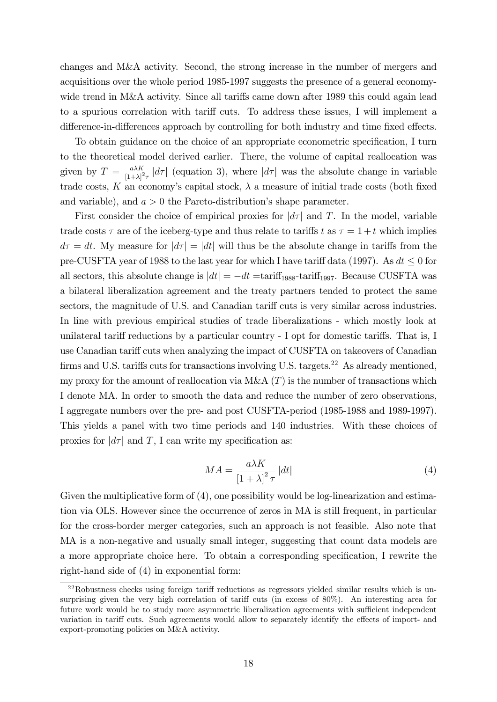changes and M&A activity. Second, the strong increase in the number of mergers and acquisitions over the whole period 1985-1997 suggests the presence of a general economywide trend in M&A activity. Since all tariffs came down after 1989 this could again lead to a spurious correlation with tariff cuts. To address these issues, I will implement a difference-in-differences approach by controlling for both industry and time fixed effects.

To obtain guidance on the choice of an appropriate econometric specification, I turn to the theoretical model derived earlier. There, the volume of capital reallocation was given by  $T = \frac{a\lambda K}{[1+\lambda]^2}$  $\frac{a\lambda K}{[1+\lambda]^2\tau}$   $|d\tau|$  (equation 3), where  $|d\tau|$  was the absolute change in variable trade costs, K an economy's capital stock,  $\lambda$  a measure of initial trade costs (both fixed and variable), and  $a > 0$  the Pareto-distribution's shape parameter.

First consider the choice of empirical proxies for  $|d\tau|$  and T. In the model, variable trade costs  $\tau$  are of the iceberg-type and thus relate to tariffs t as  $\tau = 1 + t$  which implies  $d\tau = dt$ . My measure for  $|d\tau| = |dt|$  will thus be the absolute change in tariffs from the pre-CUSFTA year of 1988 to the last year for which I have tariff data (1997). As  $dt \leq 0$  for all sectors, this absolute change is  $|dt| = -dt = \text{tariff}_{1988} - \text{tariff}_{1997}$ . Because CUSFTA was a bilateral liberalization agreement and the treaty partners tended to protect the same sectors, the magnitude of U.S. and Canadian tariff cuts is very similar across industries. In line with previous empirical studies of trade liberalizations - which mostly look at unilateral tariff reductions by a particular country - I opt for domestic tariffs. That is, I use Canadian tariff cuts when analyzing the impact of CUSFTA on takeovers of Canadian firms and U.S. tariffs cuts for transactions involving U.S. targets.<sup>22</sup> As already mentioned, my proxy for the amount of reallocation via M&A  $(T)$  is the number of transactions which I denote MA. In order to smooth the data and reduce the number of zero observations, I aggregate numbers over the pre- and post CUSFTA-period (1985-1988 and 1989-1997). This yields a panel with two time periods and 140 industries. With these choices of proxies for  $|d\tau|$  and T, I can write my specification as:

$$
MA = \frac{a\lambda K}{\left[1+\lambda\right]^2 \tau} \left|dt\right| \tag{4}
$$

Given the multiplicative form of (4), one possibility would be log-linearization and estimation via OLS. However since the occurrence of zeros in MA is still frequent, in particular for the cross-border merger categories, such an approach is not feasible. Also note that MA is a non-negative and usually small integer, suggesting that count data models are a more appropriate choice here. To obtain a corresponding specification, I rewrite the right-hand side of (4) in exponential form:

 $^{22}$ Robustness checks using foreign tariff reductions as regressors yielded similar results which is unsurprising given the very high correlation of tariff cuts (in excess of  $80\%$ ). An interesting area for future work would be to study more asymmetric liberalization agreements with sufficient independent variation in tariff cuts. Such agreements would allow to separately identify the effects of import- and export-promoting policies on M&A activity.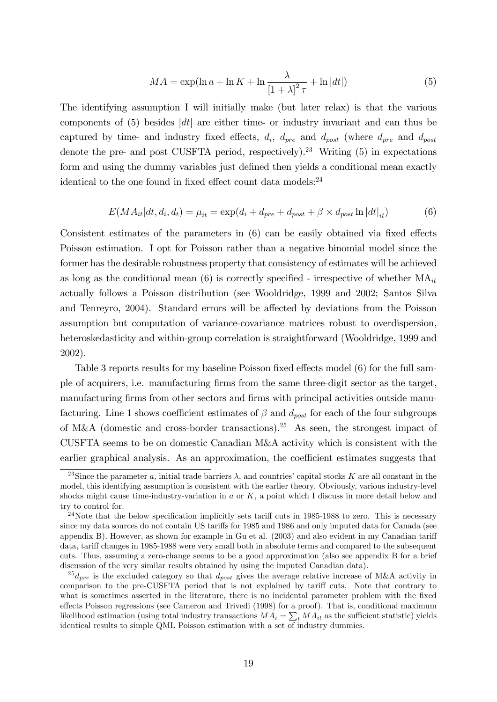$$
MA = \exp(\ln a + \ln K + \ln \frac{\lambda}{\left[1 + \lambda\right]^2 \tau} + \ln|dt|)
$$
\n(5)

The identifying assumption I will initially make (but later relax) is that the various components of  $(5)$  besides  $|dt|$  are either time- or industry invariant and can thus be captured by time- and industry fixed effects,  $d_i$ ,  $d_{pre}$  and  $d_{post}$  (where  $d_{pre}$  and  $d_{post}$ denote the pre- and post CUSFTA period, respectively).<sup>23</sup> Writing  $(5)$  in expectations form and using the dummy variables just defined then yields a conditional mean exactly identical to the one found in fixed effect count data models: $^{24}$ 

$$
E(MA_{it}|dt, d_i, d_t) = \mu_{it} = \exp(d_i + d_{pre} + d_{post} + \beta \times d_{post} \ln |dt|_{it})
$$
(6)

Consistent estimates of the parameters in  $(6)$  can be easily obtained via fixed effects Poisson estimation. I opt for Poisson rather than a negative binomial model since the former has the desirable robustness property that consistency of estimates will be achieved as long as the conditional mean (6) is correctly specified - irrespective of whether  $MA_{it}$ actually follows a Poisson distribution (see Wooldridge, 1999 and 2002; Santos Silva and Tenreyro, 2004). Standard errors will be affected by deviations from the Poisson assumption but computation of variance-covariance matrices robust to overdispersion, heteroskedasticity and within-group correlation is straightforward (Wooldridge, 1999 and 2002).

Table 3 reports results for my baseline Poisson fixed effects model  $(6)$  for the full sample of acquirers, i.e. manufacturing Örms from the same three-digit sector as the target, manufacturing firms from other sectors and firms with principal activities outside manufacturing. Line 1 shows coefficient estimates of  $\beta$  and  $d_{post}$  for each of the four subgroups of M&A (domestic and cross-border transactions).<sup>25</sup> As seen, the strongest impact of CUSFTA seems to be on domestic Canadian M&A activity which is consistent with the earlier graphical analysis. As an approximation, the coefficient estimates suggests that

<sup>&</sup>lt;sup>23</sup>Since the parameter a, initial trade barriers  $\lambda$ , and countries' capital stocks K are all constant in the model, this identifying assumption is consistent with the earlier theory. Obviously, various industry-level shocks might cause time-industry-variation in  $a$  or  $K$ , a point which I discuss in more detail below and try to control for.

<sup>&</sup>lt;sup>24</sup>Note that the below specification implicitly sets tariff cuts in 1985-1988 to zero. This is necessary since my data sources do not contain US tariffs for 1985 and 1986 and only imputed data for Canada (see appendix B). However, as shown for example in Gu et al. (2003) and also evident in my Canadian tariff data, tariff changes in 1985-1988 were very small both in absolute terms and compared to the subsequent cuts. Thus, assuming a zero-change seems to be a good approximation (also see appendix B for a brief discussion of the very similar results obtained by using the imputed Canadian data).

 $^{25}d_{pre}$  is the excluded category so that  $d_{post}$  gives the average relative increase of M&A activity in comparison to the pre-CUSFTA period that is not explained by tariff cuts. Note that contrary to what is sometimes asserted in the literature, there is no incidental parameter problem with the fixed effects Poisson regressions (see Cameron and Trivedi (1998) for a proof). That is, conditional maximum likelihood estimation (using total industry transactions  $MA_i = \sum_t MA_{it}$  as the sufficient statistic) yields identical results to simple QML Poisson estimation with a set of industry dummies.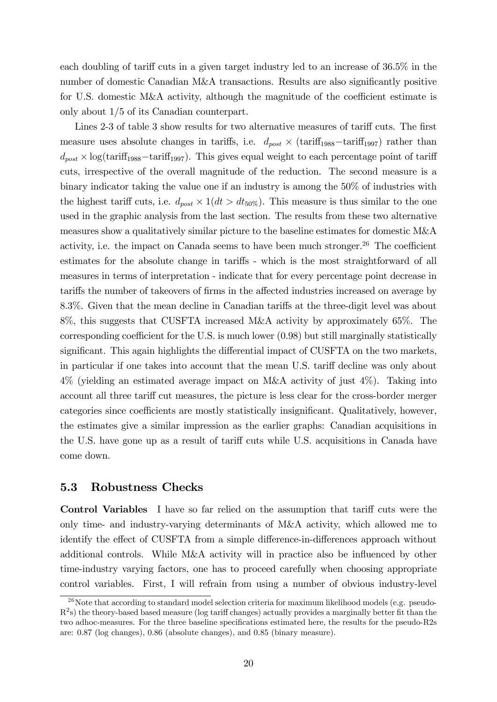each doubling of tariff cuts in a given target industry led to an increase of  $36.5\%$  in the number of domestic Canadian M&A transactions. Results are also significantly positive for U.S. domestic  $M\&\text{A activity}$ , although the magnitude of the coefficient estimate is only about 1/5 of its Canadian counterpart.

Lines 2-3 of table 3 show results for two alternative measures of tariff cuts. The first measure uses absolute changes in tariffs, i.e.  $d_{post} \times (\text{tariff}_{1988} - \text{tariff}_{1997})$  rather than  $d_{post} \times \log(\text{tariff}_{1988} - \text{tariff}_{1997})$ . This gives equal weight to each percentage point of tariff cuts, irrespective of the overall magnitude of the reduction. The second measure is a binary indicator taking the value one if an industry is among the 50% of industries with the highest tariff cuts, i.e.  $d_{post} \times 1(dt > dt_{50\%})$ . This measure is thus similar to the one used in the graphic analysis from the last section. The results from these two alternative measures show a qualitatively similar picture to the baseline estimates for domestic M&A activity, i.e. the impact on Canada seems to have been much stronger.<sup>26</sup> The coefficient estimates for the absolute change in tariffs - which is the most straightforward of all measures in terms of interpretation - indicate that for every percentage point decrease in tariffs the number of takeovers of firms in the affected industries increased on average by 8.3%. Given that the mean decline in Canadian tariffs at the three-digit level was about 8%, this suggests that CUSFTA increased M&A activity by approximately 65%. The corresponding coefficient for the U.S. is much lower  $(0.98)$  but still marginally statistically significant. This again highlights the differential impact of CUSFTA on the two markets, in particular if one takes into account that the mean U.S. tariff decline was only about 4% (yielding an estimated average impact on M&A activity of just 4%). Taking into account all three tariff cut measures, the picture is less clear for the cross-border merger categories since coefficients are mostly statistically insignificant. Qualitatively, however, the estimates give a similar impression as the earlier graphs: Canadian acquisitions in the U.S. have gone up as a result of tariff cuts while U.S. acquisitions in Canada have come down.

## 5.3 Robustness Checks

Control Variables I have so far relied on the assumption that tariff cuts were the only time- and industry-varying determinants of M&A activity, which allowed me to identify the effect of CUSFTA from a simple difference-in-differences approach without additional controls. While M&A activity will in practice also be influenced by other time-industry varying factors, one has to proceed carefully when choosing appropriate control variables. First, I will refrain from using a number of obvious industry-level

<sup>&</sup>lt;sup>26</sup>Note that according to standard model selection criteria for maximum likelihood models (e.g. pseudo- $R^2$ s) the theory-based based measure (log tariff changes) actually provides a marginally better fit than the two adhoc-measures. For the three baseline specifications estimated here, the results for the pseudo-R2s are: 0.87 (log changes), 0.86 (absolute changes), and 0.85 (binary measure).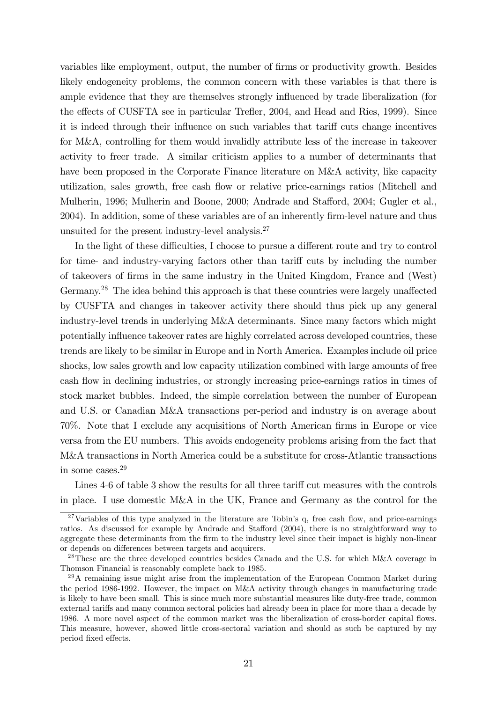variables like employment, output, the number of firms or productivity growth. Besides likely endogeneity problems, the common concern with these variables is that there is ample evidence that they are themselves strongly influenced by trade liberalization (for the effects of CUSFTA see in particular Trefler, 2004, and Head and Ries, 1999). Since it is indeed through their influence on such variables that tariff cuts change incentives for M&A, controlling for them would invalidly attribute less of the increase in takeover activity to freer trade. A similar criticism applies to a number of determinants that have been proposed in the Corporate Finance literature on M&A activity, like capacity utilization, sales growth, free cash flow or relative price-earnings ratios (Mitchell and Mulherin, 1996; Mulherin and Boone, 2000; Andrade and Stafford, 2004; Gugler et al., 2004). In addition, some of these variables are of an inherently firm-level nature and thus unsuited for the present industry-level analysis. $27$ 

In the light of these difficulties, I choose to pursue a different route and try to control for time- and industry-varying factors other than tariff cuts by including the number of takeovers of Örms in the same industry in the United Kingdom, France and (West) Germany.<sup>28</sup> The idea behind this approach is that these countries were largely unaffected by CUSFTA and changes in takeover activity there should thus pick up any general industry-level trends in underlying M&A determinants. Since many factors which might potentially ináuence takeover rates are highly correlated across developed countries, these trends are likely to be similar in Europe and in North America. Examples include oil price shocks, low sales growth and low capacity utilization combined with large amounts of free cash flow in declining industries, or strongly increasing price-earnings ratios in times of stock market bubbles. Indeed, the simple correlation between the number of European and U.S. or Canadian M&A transactions per-period and industry is on average about 70%. Note that I exclude any acquisitions of North American firms in Europe or vice versa from the EU numbers. This avoids endogeneity problems arising from the fact that M&A transactions in North America could be a substitute for cross-Atlantic transactions in some cases.<sup>29</sup>

Lines 4-6 of table 3 show the results for all three tariff cut measures with the controls in place. I use domestic M&A in the UK, France and Germany as the control for the

 $27$ Variables of this type analyzed in the literature are Tobin's q, free cash flow, and price-earnings ratios. As discussed for example by Andrade and Stafford (2004), there is no straightforward way to aggregate these determinants from the firm to the industry level since their impact is highly non-linear or depends on differences between targets and acquirers.

<sup>&</sup>lt;sup>28</sup>These are the three developed countries besides Canada and the U.S. for which  $M&A$  coverage in Thomson Financial is reasonably complete back to 1985.

<sup>&</sup>lt;sup>29</sup>A remaining issue might arise from the implementation of the European Common Market during the period 1986-1992. However, the impact on M&A activity through changes in manufacturing trade is likely to have been small. This is since much more substantial measures like duty-free trade, common external tariffs and many common sectoral policies had already been in place for more than a decade by 1986. A more novel aspect of the common market was the liberalization of cross-border capital áows. This measure, however, showed little cross-sectoral variation and should as such be captured by my period fixed effects.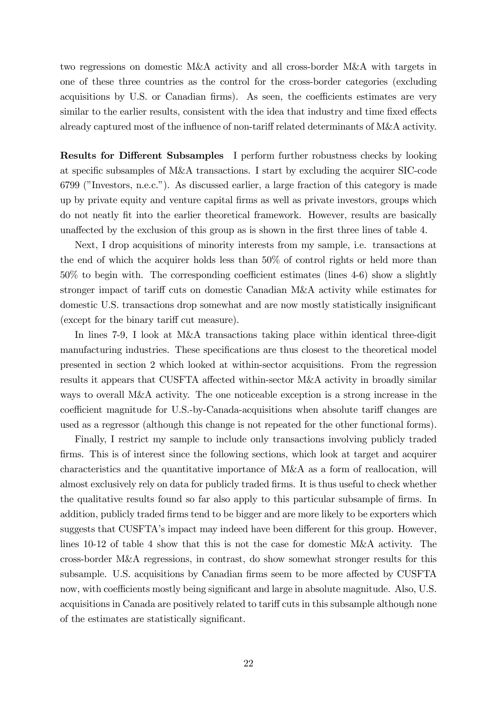two regressions on domestic M&A activity and all cross-border M&A with targets in one of these three countries as the control for the cross-border categories (excluding acquisitions by U.S. or Canadian firms). As seen, the coefficients estimates are very similar to the earlier results, consistent with the idea that industry and time fixed effects already captured most of the influence of non-tariff related determinants of M&A activity.

**Results for Different Subsamples** I perform further robustness checks by looking at specific subsamples of M&A transactions. I start by excluding the acquirer  $SIC$ -code 6799 (îInvestors, n.e.c.î). As discussed earlier, a large fraction of this category is made up by private equity and venture capital Örms as well as private investors, groups which do not neatly Öt into the earlier theoretical framework. However, results are basically unaffected by the exclusion of this group as is shown in the first three lines of table 4.

Next, I drop acquisitions of minority interests from my sample, i.e. transactions at the end of which the acquirer holds less than 50% of control rights or held more than  $50\%$  to begin with. The corresponding coefficient estimates (lines  $4-6$ ) show a slightly stronger impact of tariff cuts on domestic Canadian M&A activity while estimates for domestic U.S. transactions drop somewhat and are now mostly statistically insignificant (except for the binary tariff cut measure).

In lines 7-9, I look at M&A transactions taking place within identical three-digit manufacturing industries. These specifications are thus closest to the theoretical model presented in section 2 which looked at within-sector acquisitions. From the regression results it appears that CUSFTA affected within-sector M&A activity in broadly similar ways to overall M&A activity. The one noticeable exception is a strong increase in the coefficient magnitude for U.S.-by-Canada-acquisitions when absolute tariff changes are used as a regressor (although this change is not repeated for the other functional forms).

Finally, I restrict my sample to include only transactions involving publicly traded firms. This is of interest since the following sections, which look at target and acquirer characteristics and the quantitative importance of M&A as a form of reallocation, will almost exclusively rely on data for publicly traded Örms. It is thus useful to check whether the qualitative results found so far also apply to this particular subsample of firms. In addition, publicly traded firms tend to be bigger and are more likely to be exporters which suggests that CUSFTA's impact may indeed have been different for this group. However, lines 10-12 of table 4 show that this is not the case for domestic M&A activity. The cross-border M&A regressions, in contrast, do show somewhat stronger results for this subsample. U.S. acquisitions by Canadian firms seem to be more affected by CUSFTA now, with coefficients mostly being significant and large in absolute magnitude. Also, U.S. acquisitions in Canada are positively related to tariff cuts in this subsample although none of the estimates are statistically significant.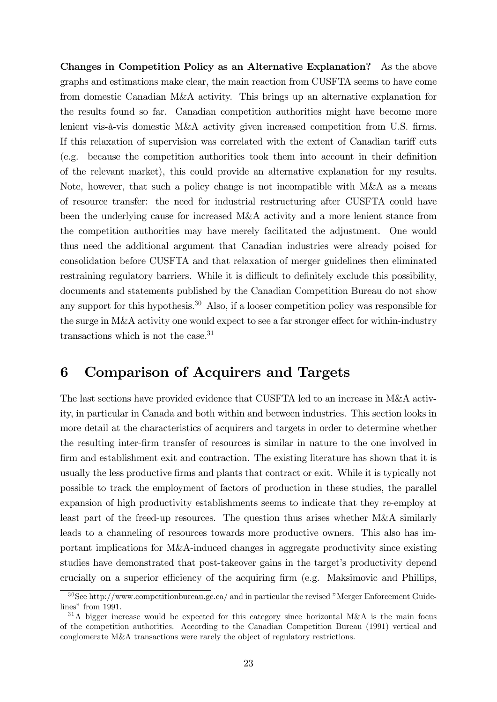Changes in Competition Policy as an Alternative Explanation? As the above graphs and estimations make clear, the main reaction from CUSFTA seems to have come from domestic Canadian M&A activity. This brings up an alternative explanation for the results found so far. Canadian competition authorities might have become more lenient vis-à-vis domestic M&A activity given increased competition from U.S. firms. If this relaxation of supervision was correlated with the extent of Canadian tariff cuts  $(e.g.$  because the competition authorities took them into account in their definition of the relevant market), this could provide an alternative explanation for my results. Note, however, that such a policy change is not incompatible with M&A as a means of resource transfer: the need for industrial restructuring after CUSFTA could have been the underlying cause for increased M&A activity and a more lenient stance from the competition authorities may have merely facilitated the adjustment. One would thus need the additional argument that Canadian industries were already poised for consolidation before CUSFTA and that relaxation of merger guidelines then eliminated restraining regulatory barriers. While it is difficult to definitely exclude this possibility, documents and statements published by the Canadian Competition Bureau do not show any support for this hypothesis.<sup>30</sup> Also, if a looser competition policy was responsible for the surge in M&A activity one would expect to see a far stronger effect for within-industry transactions which is not the case.<sup>31</sup>

# 6 Comparison of Acquirers and Targets

The last sections have provided evidence that CUSFTA led to an increase in M&A activity, in particular in Canada and both within and between industries. This section looks in more detail at the characteristics of acquirers and targets in order to determine whether the resulting inter-Örm transfer of resources is similar in nature to the one involved in firm and establishment exit and contraction. The existing literature has shown that it is usually the less productive Örms and plants that contract or exit. While it is typically not possible to track the employment of factors of production in these studies, the parallel expansion of high productivity establishments seems to indicate that they re-employ at least part of the freed-up resources. The question thus arises whether M&A similarly leads to a channeling of resources towards more productive owners. This also has important implications for M&A-induced changes in aggregate productivity since existing studies have demonstrated that post-takeover gains in the target's productivity depend crucially on a superior efficiency of the acquiring firm (e.g. Maksimovic and Phillips,

 $30$ See http://www.competitionbureau.gc.ca/ and in particular the revised "Merger Enforcement Guidelines" from  $1991$ .

 $31A$  bigger increase would be expected for this category since horizontal M&A is the main focus of the competition authorities. According to the Canadian Competition Bureau (1991) vertical and conglomerate M&A transactions were rarely the object of regulatory restrictions.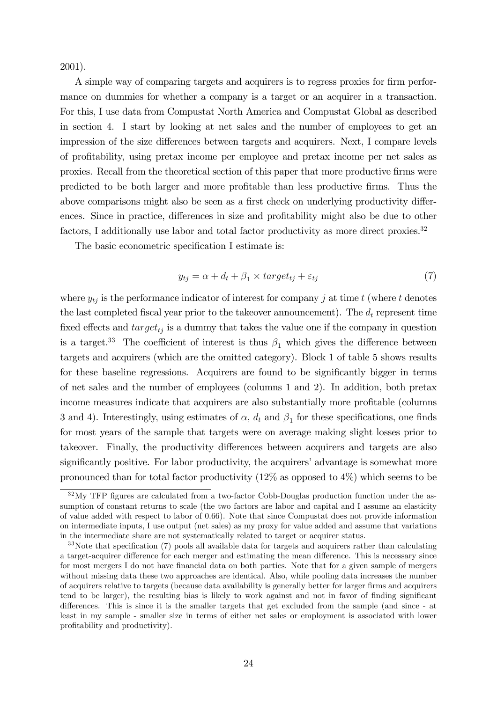2001).

A simple way of comparing targets and acquirers is to regress proxies for firm performance on dummies for whether a company is a target or an acquirer in a transaction. For this, I use data from Compustat North America and Compustat Global as described in section 4. I start by looking at net sales and the number of employees to get an impression of the size differences between targets and acquirers. Next, I compare levels of proÖtability, using pretax income per employee and pretax income per net sales as proxies. Recall from the theoretical section of this paper that more productive Örms were predicted to be both larger and more profitable than less productive firms. Thus the above comparisons might also be seen as a first check on underlying productivity differences. Since in practice, differences in size and profitability might also be due to other factors, I additionally use labor and total factor productivity as more direct proxies.<sup>32</sup>

The basic econometric specification I estimate is:

$$
y_{tj} = \alpha + d_t + \beta_1 \times target_{tj} + \varepsilon_{tj} \tag{7}
$$

where  $y_{tj}$  is the performance indicator of interest for company j at time t (where t denotes the last completed fiscal year prior to the takeover announcement). The  $d_t$  represent time fixed effects and  $target_{tj}$  is a dummy that takes the value one if the company in question is a target.<sup>33</sup> The coefficient of interest is thus  $\beta_1$  which gives the difference between targets and acquirers (which are the omitted category). Block 1 of table 5 shows results for these baseline regressions. Acquirers are found to be significantly bigger in terms of net sales and the number of employees (columns 1 and 2). In addition, both pretax income measures indicate that acquirers are also substantially more profitable (columns 3 and 4). Interestingly, using estimates of  $\alpha$ ,  $d_t$  and  $\beta_1$  for these specifications, one finds for most years of the sample that targets were on average making slight losses prior to takeover. Finally, the productivity differences between acquirers and targets are also significantly positive. For labor productivity, the acquirers' advantage is somewhat more pronounced than for total factor productivity  $(12\%$  as opposed to  $4\%)$  which seems to be

 $32\,\mathrm{My}$  TFP figures are calculated from a two-factor Cobb-Douglas production function under the assumption of constant returns to scale (the two factors are labor and capital and I assume an elasticity of value added with respect to labor of 0:66). Note that since Compustat does not provide information on intermediate inputs, I use output (net sales) as my proxy for value added and assume that variations in the intermediate share are not systematically related to target or acquirer status.

 $33$ Note that specification (7) pools all available data for targets and acquirers rather than calculating a target-acquirer difference for each merger and estimating the mean difference. This is necessary since for most mergers I do not have financial data on both parties. Note that for a given sample of mergers without missing data these two approaches are identical. Also, while pooling data increases the number of acquirers relative to targets (because data availability is generally better for larger Örms and acquirers tend to be larger), the resulting bias is likely to work against and not in favor of finding significant differences. This is since it is the smaller targets that get excluded from the sample (and since - at least in my sample - smaller size in terms of either net sales or employment is associated with lower profitability and productivity).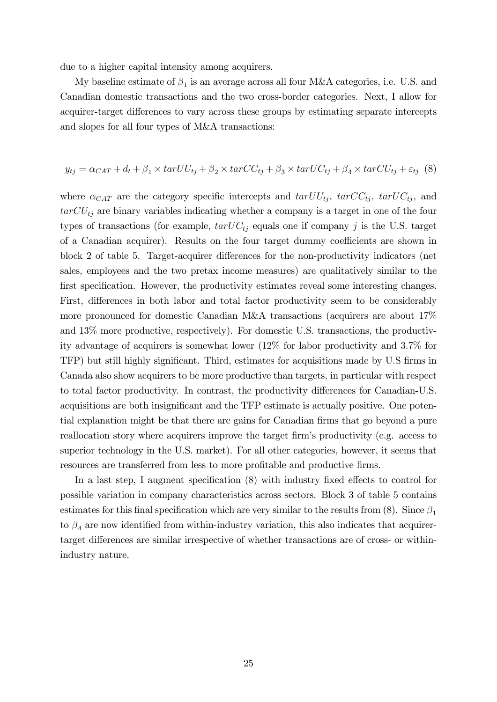due to a higher capital intensity among acquirers.

My baseline estimate of  $\beta_1$  is an average across all four M&A categories, i.e. U.S. and Canadian domestic transactions and the two cross-border categories. Next, I allow for acquirer-target differences to vary across these groups by estimating separate intercepts and slopes for all four types of M&A transactions:

$$
y_{tj} = \alpha_{CAT} + d_t + \beta_1 \times tarUU_{tj} + \beta_2 \times tarCC_{tj} + \beta_3 \times tarUC_{tj} + \beta_4 \times tarCU_{tj} + \varepsilon_{tj} \tag{8}
$$

where  $\alpha_{CAT}$  are the category specific intercepts and  $tarUU_{tj}$ ,  $tarUC_{tj}$ ,  $tarUC_{tj}$ , and  $tarCU_{tj}$  are binary variables indicating whether a company is a target in one of the four types of transactions (for example,  $tarUC_{tj}$  equals one if company j is the U.S. target of a Canadian acquirer). Results on the four target dummy coefficients are shown in block 2 of table 5. Target-acquirer differences for the non-productivity indicators (net sales, employees and the two pretax income measures) are qualitatively similar to the first specification. However, the productivity estimates reveal some interesting changes. First, differences in both labor and total factor productivity seem to be considerably more pronounced for domestic Canadian M&A transactions (acquirers are about 17% and 13% more productive, respectively). For domestic U.S. transactions, the productivity advantage of acquirers is somewhat lower (12% for labor productivity and 3.7% for TFP) but still highly significant. Third, estimates for acquisitions made by U.S firms in Canada also show acquirers to be more productive than targets, in particular with respect to total factor productivity. In contrast, the productivity differences for Canadian-U.S. acquisitions are both insignificant and the TFP estimate is actually positive. One potential explanation might be that there are gains for Canadian firms that go beyond a pure reallocation story where acquirers improve the target firm's productivity (e.g. access to superior technology in the U.S. market). For all other categories, however, it seems that resources are transferred from less to more profitable and productive firms.

In a last step, I augment specification  $(8)$  with industry fixed effects to control for possible variation in company characteristics across sectors. Block 3 of table 5 contains estimates for this final specification which are very similar to the results from (8). Since  $\beta_1$ to  $\beta_4$  are now identified from within-industry variation, this also indicates that acquirertarget differences are similar irrespective of whether transactions are of cross- or withinindustry nature.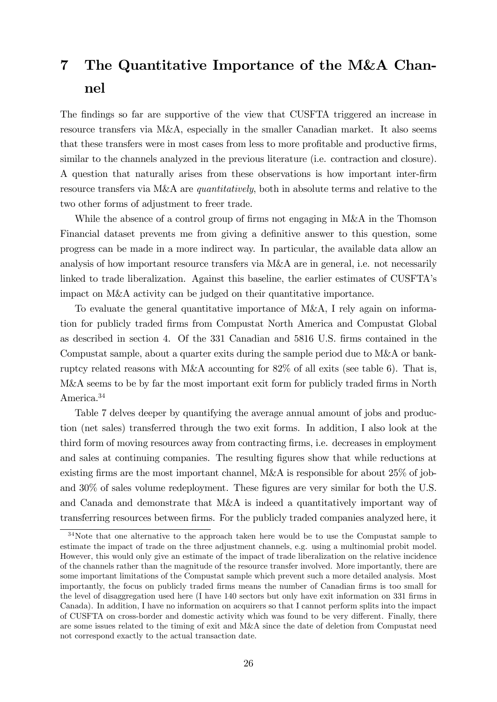# 7 The Quantitative Importance of the M&A Channel

The findings so far are supportive of the view that CUSFTA triggered an increase in resource transfers via M&A, especially in the smaller Canadian market. It also seems that these transfers were in most cases from less to more profitable and productive firms, similar to the channels analyzed in the previous literature (i.e. contraction and closure). A question that naturally arises from these observations is how important inter-Örm resource transfers via M&A are *quantitatively*, both in absolute terms and relative to the two other forms of adjustment to freer trade.

While the absence of a control group of firms not engaging in M&A in the Thomson Financial dataset prevents me from giving a definitive answer to this question, some progress can be made in a more indirect way. In particular, the available data allow an analysis of how important resource transfers via M&A are in general, i.e. not necessarily linked to trade liberalization. Against this baseline, the earlier estimates of CUSFTA's impact on M&A activity can be judged on their quantitative importance.

To evaluate the general quantitative importance of M&A, I rely again on information for publicly traded Örms from Compustat North America and Compustat Global as described in section 4. Of the 331 Canadian and 5816 U.S. Örms contained in the Compustat sample, about a quarter exits during the sample period due to M&A or bankruptcy related reasons with M&A accounting for 82% of all exits (see table 6). That is, M&A seems to be by far the most important exit form for publicly traded firms in North America.<sup>34</sup>

Table 7 delves deeper by quantifying the average annual amount of jobs and production (net sales) transferred through the two exit forms. In addition, I also look at the third form of moving resources away from contracting Örms, i.e. decreases in employment and sales at continuing companies. The resulting figures show that while reductions at existing firms are the most important channel, M&A is responsible for about  $25\%$  of joband  $30\%$  of sales volume redeployment. These figures are very similar for both the U.S. and Canada and demonstrate that M&A is indeed a quantitatively important way of transferring resources between firms. For the publicly traded companies analyzed here, it

<sup>&</sup>lt;sup>34</sup>Note that one alternative to the approach taken here would be to use the Compustat sample to estimate the impact of trade on the three adjustment channels, e.g. using a multinomial probit model. However, this would only give an estimate of the impact of trade liberalization on the relative incidence of the channels rather than the magnitude of the resource transfer involved. More importantly, there are some important limitations of the Compustat sample which prevent such a more detailed analysis. Most importantly, the focus on publicly traded firms means the number of Canadian firms is too small for the level of disaggregation used here (I have 140 sectors but only have exit information on 331 firms in Canada). In addition, I have no information on acquirers so that I cannot perform splits into the impact of CUSFTA on cross-border and domestic activity which was found to be very different. Finally, there are some issues related to the timing of exit and M&A since the date of deletion from Compustat need not correspond exactly to the actual transaction date.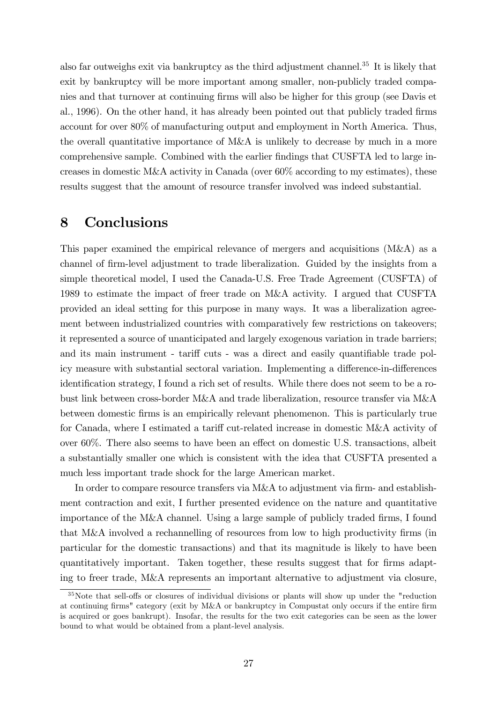also far outweighs exit via bankruptcy as the third adjustment channel.<sup>35</sup> It is likely that exit by bankruptcy will be more important among smaller, non-publicly traded companies and that turnover at continuing Örms will also be higher for this group (see Davis et al., 1996). On the other hand, it has already been pointed out that publicly traded firms account for over 80% of manufacturing output and employment in North America. Thus, the overall quantitative importance of M&A is unlikely to decrease by much in a more comprehensive sample. Combined with the earlier findings that CUSFTA led to large increases in domestic M&A activity in Canada (over 60% according to my estimates), these results suggest that the amount of resource transfer involved was indeed substantial.

# 8 Conclusions

This paper examined the empirical relevance of mergers and acquisitions (M&A) as a channel of Örm-level adjustment to trade liberalization. Guided by the insights from a simple theoretical model, I used the Canada-U.S. Free Trade Agreement (CUSFTA) of 1989 to estimate the impact of freer trade on M&A activity. I argued that CUSFTA provided an ideal setting for this purpose in many ways. It was a liberalization agreement between industrialized countries with comparatively few restrictions on takeovers; it represented a source of unanticipated and largely exogenous variation in trade barriers; and its main instrument - tariff cuts - was a direct and easily quantifiable trade policy measure with substantial sectoral variation. Implementing a difference-in-differences identification strategy, I found a rich set of results. While there does not seem to be a robust link between cross-border M&A and trade liberalization, resource transfer via M&A between domestic Örms is an empirically relevant phenomenon. This is particularly true for Canada, where I estimated a tariff cut-related increase in domestic M&A activity of over  $60\%$ . There also seems to have been an effect on domestic U.S. transactions, albeit a substantially smaller one which is consistent with the idea that CUSFTA presented a much less important trade shock for the large American market.

In order to compare resource transfers via M&A to adjustment via firm- and establishment contraction and exit, I further presented evidence on the nature and quantitative importance of the M&A channel. Using a large sample of publicly traded firms, I found that M&A involved a rechannelling of resources from low to high productivity firms (in particular for the domestic transactions) and that its magnitude is likely to have been quantitatively important. Taken together, these results suggest that for firms adapting to freer trade, M&A represents an important alternative to adjustment via closure,

 $35$ Note that sell-offs or closures of individual divisions or plants will show up under the "reduction" at continuing firms" category (exit by M&A or bankruptcy in Compustat only occurs if the entire firm is acquired or goes bankrupt). Insofar, the results for the two exit categories can be seen as the lower bound to what would be obtained from a plant-level analysis.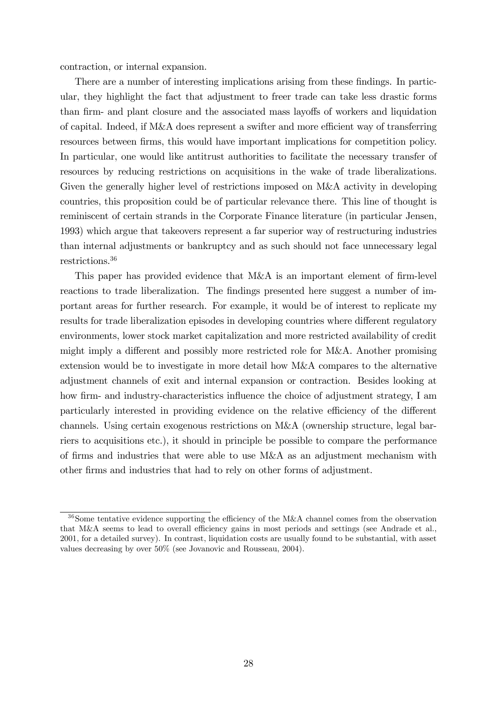contraction, or internal expansion.

There are a number of interesting implications arising from these findings. In particular, they highlight the fact that adjustment to freer trade can take less drastic forms than firm- and plant closure and the associated mass layoffs of workers and liquidation of capital. Indeed, if  $M\&\Lambda$  does represent a swifter and more efficient way of transferring resources between firms, this would have important implications for competition policy. In particular, one would like antitrust authorities to facilitate the necessary transfer of resources by reducing restrictions on acquisitions in the wake of trade liberalizations. Given the generally higher level of restrictions imposed on M&A activity in developing countries, this proposition could be of particular relevance there. This line of thought is reminiscent of certain strands in the Corporate Finance literature (in particular Jensen, 1993) which argue that takeovers represent a far superior way of restructuring industries than internal adjustments or bankruptcy and as such should not face unnecessary legal restrictions.<sup>36</sup>

This paper has provided evidence that  $M\&A$  is an important element of firm-level reactions to trade liberalization. The findings presented here suggest a number of important areas for further research. For example, it would be of interest to replicate my results for trade liberalization episodes in developing countries where different regulatory environments, lower stock market capitalization and more restricted availability of credit might imply a different and possibly more restricted role for M&A. Another promising extension would be to investigate in more detail how M&A compares to the alternative adjustment channels of exit and internal expansion or contraction. Besides looking at how firm- and industry-characteristics influence the choice of adjustment strategy, I am particularly interested in providing evidence on the relative efficiency of the different channels. Using certain exogenous restrictions on M&A (ownership structure, legal barriers to acquisitions etc.), it should in principle be possible to compare the performance of firms and industries that were able to use  $M\&\Lambda$  as an adjustment mechanism with other Örms and industries that had to rely on other forms of adjustment.

 $36$ Some tentative evidence supporting the efficiency of the M&A channel comes from the observation that M&A seems to lead to overall efficiency gains in most periods and settings (see Andrade et al., 2001, for a detailed survey). In contrast, liquidation costs are usually found to be substantial, with asset values decreasing by over 50% (see Jovanovic and Rousseau, 2004).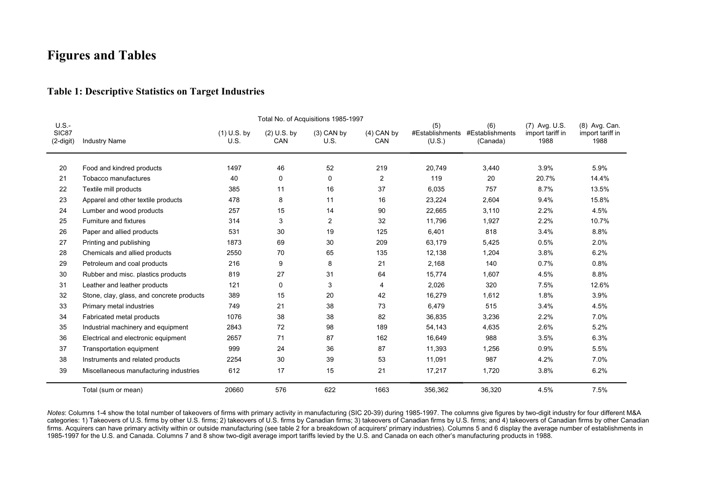# **Figures and Tables**

## **Table 1: Descriptive Statistics on Target Industries**

| U.S.               |                                           | Total No. of Acquisitions 1985-1997 |                             |                      |                     |                                  |                                    |                                           |                                           |
|--------------------|-------------------------------------------|-------------------------------------|-----------------------------|----------------------|---------------------|----------------------------------|------------------------------------|-------------------------------------------|-------------------------------------------|
| SIC87<br>(2-digit) | <b>Industry Name</b>                      | $(1)$ U.S. by<br>U.S.               | $(2)$ U.S. by<br><b>CAN</b> | $(3)$ CAN by<br>U.S. | $(4)$ CAN by<br>CAN | (5)<br>#Establishments<br>(U.S.) | (6)<br>#Establishments<br>(Canada) | (7) Avg. U.S.<br>import tariff in<br>1988 | (8) Avg. Can.<br>import tariff in<br>1988 |
| 20                 | Food and kindred products                 | 1497                                | 46                          | 52                   | 219                 | 20,749                           | 3,440                              | 3.9%                                      | 5.9%                                      |
| 21                 | Tobacco manufactures                      | 40                                  | 0                           | 0                    | $\overline{2}$      | 119                              | 20                                 | 20.7%                                     | 14.4%                                     |
| 22                 | Textile mill products                     | 385                                 | 11                          | 16                   | 37                  | 6,035                            | 757                                | 8.7%                                      | 13.5%                                     |
| 23                 | Apparel and other textile products        | 478                                 | 8                           | 11                   | 16                  | 23,224                           | 2,604                              | 9.4%                                      | 15.8%                                     |
| 24                 | Lumber and wood products                  | 257                                 | 15                          | 14                   | 90                  | 22,665                           | 3,110                              | 2.2%                                      | 4.5%                                      |
| 25                 | Furniture and fixtures                    | 314                                 | 3                           | 2                    | 32                  | 11,796                           | 1,927                              | 2.2%                                      | 10.7%                                     |
| 26                 | Paper and allied products                 | 531                                 | 30                          | 19                   | 125                 | 6,401                            | 818                                | 3.4%                                      | 8.8%                                      |
| 27                 | Printing and publishing                   | 1873                                | 69                          | 30                   | 209                 | 63,179                           | 5,425                              | 0.5%                                      | 2.0%                                      |
| 28                 | Chemicals and allied products             | 2550                                | 70                          | 65                   | 135                 | 12,138                           | 1,204                              | 3.8%                                      | 6.2%                                      |
| 29                 | Petroleum and coal products               | 216                                 | 9                           | 8                    | 21                  | 2,168                            | 140                                | 0.7%                                      | 0.8%                                      |
| 30                 | Rubber and misc. plastics products        | 819                                 | 27                          | 31                   | 64                  | 15,774                           | 1,607                              | 4.5%                                      | 8.8%                                      |
| 31                 | Leather and leather products              | 121                                 | 0                           | 3                    | 4                   | 2,026                            | 320                                | 7.5%                                      | 12.6%                                     |
| 32                 | Stone, clay, glass, and concrete products | 389                                 | 15                          | 20                   | 42                  | 16,279                           | 1,612                              | 1.8%                                      | 3.9%                                      |
| 33                 | Primary metal industries                  | 749                                 | 21                          | 38                   | 73                  | 6,479                            | 515                                | 3.4%                                      | 4.5%                                      |
| 34                 | Fabricated metal products                 | 1076                                | 38                          | 38                   | 82                  | 36,835                           | 3,236                              | 2.2%                                      | 7.0%                                      |
| 35                 | Industrial machinery and equipment        | 2843                                | 72                          | 98                   | 189                 | 54,143                           | 4,635                              | 2.6%                                      | 5.2%                                      |
| 36                 | Electrical and electronic equipment       | 2657                                | 71                          | 87                   | 162                 | 16,649                           | 988                                | 3.5%                                      | 6.3%                                      |
| 37                 | Transportation equipment                  | 999                                 | 24                          | 36                   | 87                  | 11,393                           | 1,256                              | 0.9%                                      | 5.5%                                      |
| 38                 | Instruments and related products          | 2254                                | 30                          | 39                   | 53                  | 11,091                           | 987                                | 4.2%                                      | 7.0%                                      |
| 39                 | Miscellaneous manufacturing industries    | 612                                 | 17                          | 15                   | 21                  | 17,217                           | 1,720                              | 3.8%                                      | 6.2%                                      |
|                    | Total (sum or mean)                       | 20660                               | 576                         | 622                  | 1663                | 356,362                          | 36,320                             | 4.5%                                      | 7.5%                                      |

*Notes*: Columns 1-4 show the total number of takeovers of firms with primary activity in manufacturing (SIC 20-39) during 1985-1997. The columns give figures by two-digit industry for four different M&A categories: 1) Takeovers of U.S. firms by other U.S. firms; 2) takeovers of U.S. firms by Canadian firms; 3) takeovers of Canadian firms; by and 4) takeovers of Canadian firms by other Canadian firms. Acquirers can have primary activity within or outside manufacturing (see table 2 for a breakdown of acquirers' primary industries). Columns 5 and 6 display the average number of establishments in 1985-1997 for the U.S. and Canada. Columns 7 and 8 show two-digit average import tariffs levied by the U.S. and Canada on each other's manufacturing products in 1988.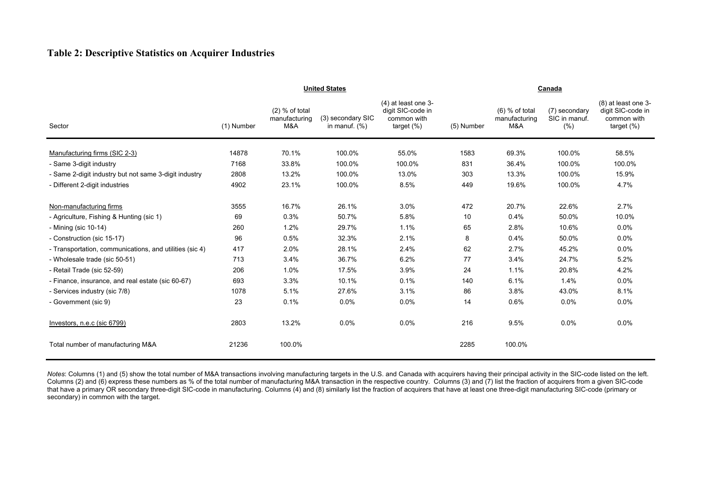## **Table 2: Descriptive Statistics on Acquirer Industries**

|                                                         | <b>United States</b> |                                          |                                       |                                                                            |            | Canada                                   |                                        |                                                                       |  |  |  |
|---------------------------------------------------------|----------------------|------------------------------------------|---------------------------------------|----------------------------------------------------------------------------|------------|------------------------------------------|----------------------------------------|-----------------------------------------------------------------------|--|--|--|
| Sector                                                  | (1) Number           | $(2)$ % of total<br>manufacturing<br>M&A | (3) secondary SIC<br>in manuf. $(\%)$ | $(4)$ at least one 3-<br>digit SIC-code in<br>common with<br>target $(\%)$ | (5) Number | $(6)$ % of total<br>manufacturing<br>M&A | (7) secondary<br>SIC in manuf.<br>(% ) | (8) at least one 3-<br>digit SIC-code in<br>common with<br>target (%) |  |  |  |
| Manufacturing firms (SIC 2-3)                           | 14878                | 70.1%                                    | 100.0%                                | 55.0%                                                                      | 1583       | 69.3%                                    | 100.0%                                 | 58.5%                                                                 |  |  |  |
| - Same 3-digit industry                                 | 7168                 | 33.8%                                    | 100.0%                                | 100.0%                                                                     | 831        | 36.4%                                    | 100.0%                                 | 100.0%                                                                |  |  |  |
| - Same 2-digit industry but not same 3-digit industry   | 2808                 | 13.2%                                    | 100.0%                                | 13.0%                                                                      | 303        | 13.3%                                    | 100.0%                                 | 15.9%                                                                 |  |  |  |
| - Different 2-digit industries                          | 4902                 | 23.1%                                    | 100.0%                                | 8.5%                                                                       | 449        | 19.6%                                    | 100.0%                                 | 4.7%                                                                  |  |  |  |
| Non-manufacturing firms                                 | 3555                 | 16.7%                                    | 26.1%                                 | 3.0%                                                                       | 472        | 20.7%                                    | 22.6%                                  | 2.7%                                                                  |  |  |  |
| - Agriculture, Fishing & Hunting (sic 1)                | 69                   | 0.3%                                     | 50.7%                                 | 5.8%                                                                       | 10         | 0.4%                                     | 50.0%                                  | 10.0%                                                                 |  |  |  |
| - Mining (sic 10-14)                                    | 260                  | 1.2%                                     | 29.7%                                 | 1.1%                                                                       | 65         | 2.8%                                     | 10.6%                                  | 0.0%                                                                  |  |  |  |
| - Construction (sic 15-17)                              | 96                   | 0.5%                                     | 32.3%                                 | 2.1%                                                                       | 8          | 0.4%                                     | 50.0%                                  | 0.0%                                                                  |  |  |  |
| - Transportation, communications, and utilities (sic 4) | 417                  | 2.0%                                     | 28.1%                                 | 2.4%                                                                       | 62         | 2.7%                                     | 45.2%                                  | 0.0%                                                                  |  |  |  |
| - Wholesale trade (sic 50-51)                           | 713                  | 3.4%                                     | 36.7%                                 | 6.2%                                                                       | 77         | 3.4%                                     | 24.7%                                  | 5.2%                                                                  |  |  |  |
| - Retail Trade (sic 52-59)                              | 206                  | 1.0%                                     | 17.5%                                 | 3.9%                                                                       | 24         | 1.1%                                     | 20.8%                                  | 4.2%                                                                  |  |  |  |
| - Finance, insurance, and real estate (sic 60-67)       | 693                  | 3.3%                                     | 10.1%                                 | 0.1%                                                                       | 140        | 6.1%                                     | 1.4%                                   | 0.0%                                                                  |  |  |  |
| - Services industry (sic 7/8)                           | 1078                 | 5.1%                                     | 27.6%                                 | 3.1%                                                                       | 86         | 3.8%                                     | 43.0%                                  | 8.1%                                                                  |  |  |  |
| - Government (sic 9)                                    | 23                   | 0.1%                                     | 0.0%                                  | 0.0%                                                                       | 14         | 0.6%                                     | 0.0%                                   | 0.0%                                                                  |  |  |  |
| Investors, n.e.c (sic 6799)                             | 2803                 | 13.2%                                    | 0.0%                                  | 0.0%                                                                       | 216        | 9.5%                                     | 0.0%                                   | 0.0%                                                                  |  |  |  |
| Total number of manufacturing M&A                       | 21236                | 100.0%                                   |                                       |                                                                            | 2285       | 100.0%                                   |                                        |                                                                       |  |  |  |

*Notes*: Columns (1) and (5) show the total number of M&A transactions involving manufacturing targets in the U.S. and Canada with acquirers having their principal activity in the SIC-code listed on the left. Columns (2) and (6) express these numbers as % of the total number of manufacturing M&A transaction in the respective country. Columns (3) and (7) list the fraction of acquirers from a given SIC-code that have a primary OR secondary three-digit SIC-code in manufacturing. Columns (4) and (8) similarly list the fraction of acquirers that have at least one three-digit manufacturing SIC-code (primary or secondary) in common with the target.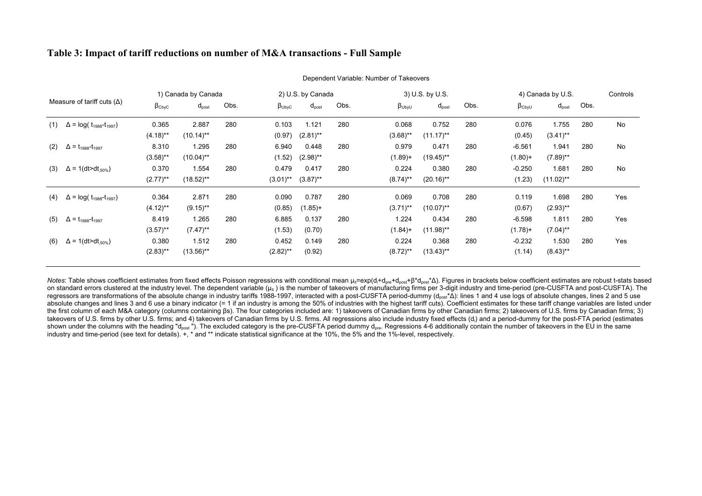### **Table 3: Impact of tariff reductions on number of M&A transactions - Full Sample**

|     |                                                 |                       | 1) Canada by Canada |      |                       | 2) U.S. by Canada |      |                | 3) U.S. by U.S. |      |                       | 4) Canada by U.S. |      | Controls  |
|-----|-------------------------------------------------|-----------------------|---------------------|------|-----------------------|-------------------|------|----------------|-----------------|------|-----------------------|-------------------|------|-----------|
|     | Measure of tariff cuts $(\Delta)$               | $\beta_{\text{CbyC}}$ | $d_{\text{post}}$   | Obs. | $\beta_{\text{UbyC}}$ | $d_{\text{post}}$ | Obs. | $\beta_{UbyU}$ | $d_{post}$      | Obs. | $\beta_{\text{CbyU}}$ | $d_{\text{post}}$ | Obs. |           |
| (1) | $\Delta$ = log( $t_{1988}$ - $t_{1997}$ )       | 0.365                 | 2.887               | 280  | 0.103                 | 1.121             | 280  | 0.068          | 0.752           | 280  | 0.076                 | 1.755             | 280  | <b>No</b> |
|     |                                                 | $(4.18)$ **           | $(10.14)$ **        |      | (0.97)                | $(2.81)$ **       |      | $(3.68)$ **    | $(11.17)$ **    |      | (0.45)                | $(3.41)$ **       |      |           |
| (2) | $\Delta$ = t <sub>1988</sub> -t <sub>1997</sub> | 8.310                 | 1.295               | 280  | 6.940                 | 0.448             | 280  | 0.979          | 0.471           | 280  | $-6.561$              | 1.941             | 280  | No        |
|     |                                                 | $(3.58)$ **           | $(10.04)$ **        |      | (1.52)                | $(2.98)$ **       |      | $(1.89) +$     | (19.45)**       |      | $(1.80) +$            | $(7.89)$ **       |      |           |
| (3) | $\Delta$ = 1(dt>dt <sub>.50%</sub> )            | 0.370                 | 1.554               | 280  | 0.479                 | 0.417             | 280  | 0.224          | 0.380           | 280  | $-0.250$              | 1.681             | 280  | <b>No</b> |
|     |                                                 | $(2.77)$ **           | $(18.52)$ **        |      | $(3.01)$ **           | $(3.87)$ **       |      | $(8.74)$ **    | $(20.16)$ **    |      | (1.23)                | $(11.02)$ **      |      |           |
| (4) | $\Delta$ = log( $t_{1988}$ - $t_{1997}$ )       | 0.364                 | 2.871               | 280  | 0.090                 | 0.787             | 280  | 0.069          | 0.708           | 280  | 0.119                 | 1.698             | 280  | Yes       |
|     |                                                 | $(4.12)$ **           | $(9.15)$ **         |      | (0.85)                | $(1.85) +$        |      | $(3.71)$ **    | (10.07)**       |      | (0.67)                | $(2.93)$ **       |      |           |
| (5) | $\Delta$ = t <sub>1988</sub> -t <sub>1997</sub> | 8.419                 | 1.265               | 280  | 6.885                 | 0.137             | 280  | 1.224          | 0.434           | 280  | $-6.598$              | 1.811             | 280  | Yes       |
|     |                                                 | $(3.57)$ **           | $(7.47)$ **         |      | (1.53)                | (0.70)            |      | $(1.84) +$     | $(11.98)$ **    |      | $(1.78) +$            | $(7.04)$ **       |      |           |
| (6) | $\Delta$ = 1(dt>dt <sub>.50%</sub> )            | 0.380                 | 1.512               | 280  | 0.452                 | 0.149             | 280  | 0.224          | 0.368           | 280  | $-0.232$              | 1.530             | 280  | Yes       |
|     |                                                 | $(2.83)$ **           | $(13.56)$ **        |      | $(2.82)$ **           | (0.92)            |      | $(8.72)$ **    | $(13.43)$ **    |      | (1.14)                | $(8.43)$ **       |      |           |

Dependent Variable: Number of Takeovers

Notes: Table shows coefficient estimates from fixed effects Poisson regressions with conditional mean μ<sub>il</sub>=exp(d<sub>i</sub>+d<sub>pre</sub>+d<sub>post</sub>+β\*d<sub>post</sub>\*Δ). Figures in brackets below coefficient estimates are robust t-stats based on standard errors clustered at the industry level. The dependent variable ( $\mu_{\text{it}}$ ) is the number of takeovers of manufacturing firms per 3-digit industry and time-period (pre-CUSFTA and post-CUSFTA). The regressors are transformations of the absolute change in industry tariffs 1988-1997, interacted with a post-CUSFTA period-dummy (d<sub>ost</sub>\*∆): lines 1 and 4 use logs of absolute changes, lines 2 and 5 use absolute changes and lines 3 and 6 use a binary indicator (= 1 if an industry is among the 50% of industries with the highest tariff cuts). Coefficient estimates for these tariff change variables are listed under the first column of each M&A category (columns containing βs). The four categories included are: 1) takeovers of Canadian firms by other Canadian firms; 2) takeovers of U.S. firms by Canadian firms; 3) takeovers of U.S. firms by other U.S. firms; and 4) takeovers of Canadian firms by U.S. firms. All regressions also include industry fixed effects (d<sub>i</sub>) and a period-dummy for the post-FTA period (estimates shown under the columns with the heading "d<sub>oost</sub>"). The excluded category is the pre-CUSFTA period dummy d<sub>ore</sub>. Regressions 4-6 additionally contain the number of takeovers in the EU in the same industry and time-period (see text for details). +, \* and \*\* indicate statistical significance at the 10%, the 5% and the 1%-level, respectively.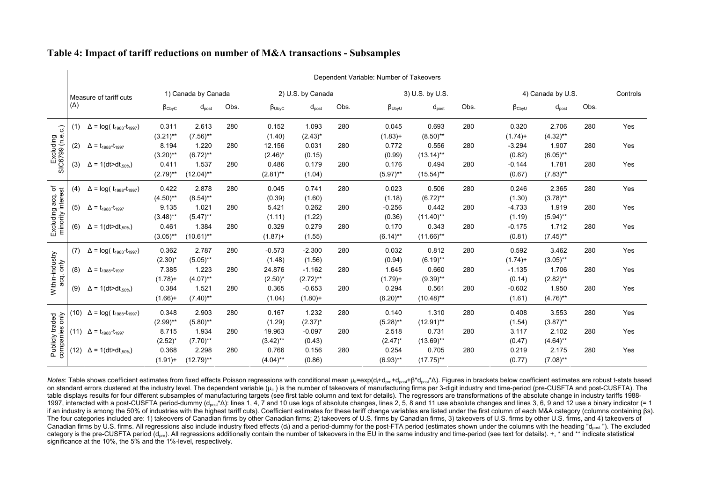|            |                                                                             |                                                                                                                                           |                   |      |                       |                   |      |                   |                   |                 |                       |             |      | Controls                                                     |
|------------|-----------------------------------------------------------------------------|-------------------------------------------------------------------------------------------------------------------------------------------|-------------------|------|-----------------------|-------------------|------|-------------------|-------------------|-----------------|-----------------------|-------------|------|--------------------------------------------------------------|
| $(\Delta)$ |                                                                             | $\beta_{\text{CbyC}}$                                                                                                                     | $d_{\text{post}}$ | Obs. | $\beta_{\text{UbyC}}$ | $d_{\text{post}}$ | Obs. | $\beta_{UbyU}$    | $d_{\text{post}}$ | Obs.            | $\beta_{\text{CbyU}}$ | $d_{post}$  | Obs. |                                                              |
| (1)        | $\Delta$ = log( t <sub>1988</sub> -t <sub>1997</sub> )                      | 0.311                                                                                                                                     | 2.613             | 280  | 0.152                 | 1.093             | 280  | 0.045             | 0.693             | 280             | 0.320                 | 2.706       | 280  | Yes                                                          |
|            |                                                                             | $(3.21)$ **                                                                                                                               | $(7.56)$ **       |      | (1.40)                | $(2.43)^*$        |      | $(1.83) +$        | $(8.50)$ **       |                 | $(1.74) +$            | $(4.32)$ ** |      |                                                              |
| (2)        | $\Delta$ = t <sub>1988</sub> -t <sub>1997</sub>                             | 8.194                                                                                                                                     | 1.220             | 280  | 12.156                | 0.031             | 280  | 0.772             | 0.556             | 280             | $-3.294$              | 1.907       | 280  | Yes                                                          |
|            |                                                                             | $(3.20)$ **                                                                                                                               | $(6.72)$ **       |      | $(2.46)^*$            | (0.15)            |      | (0.99)            | $(13.14)$ **      |                 | (0.82)                | $(6.05)$ ** |      |                                                              |
| (3)        | $\Delta$ = 1(dt>dt <sub>.50%</sub> )                                        | 0.411                                                                                                                                     | 1.537             | 280  | 0.486                 | 0.179             | 280  | 0.176             | 0.494             | 280             | $-0.144$              | 1.781       | 280  | Yes                                                          |
|            |                                                                             | $(2.79)$ **                                                                                                                               | $(12.04)$ **      |      | $(2.81)$ **           | (1.04)            |      | $(5.97)$ **       | $(15.54)$ **      |                 | (0.67)                | $(7.83)$ ** |      |                                                              |
| (4)        | $\Delta$ = log( t <sub>1988</sub> -t <sub>1997</sub> )                      | 0.422                                                                                                                                     | 2.878             | 280  | 0.045                 | 0.741             | 280  | 0.023             | 0.506             | 280             | 0.246                 | 2.365       | 280  | Yes                                                          |
|            |                                                                             | $(4.50)$ **                                                                                                                               | $(8.54)$ **       |      | (0.39)                | (1.60)            |      | (1.18)            | $(6.72)$ **       |                 | (1.30)                | $(3.78)$ ** |      |                                                              |
| (5)        | $\Delta = t_{1988}-t_{1997}$                                                | 9.135                                                                                                                                     | 1.021             | 280  | 5.421                 | 0.262             | 280  | $-0.256$          | 0.442             | 280             | $-4.733$              | 1.919       | 280  | Yes                                                          |
|            |                                                                             | $(3.48)$ **                                                                                                                               | $(5.47)$ **       |      | (1.11)                | (1.22)            |      | (0.36)            | $(11.40)$ **      |                 | (1.19)                | $(5.94)$ ** |      |                                                              |
| (6)        | $\Delta$ = 1(dt>dt <sub>.50%</sub> )                                        | 0.461                                                                                                                                     | 1.384             | 280  | 0.329                 | 0.279             | 280  | 0.170             | 0.343             | 280             | $-0.175$              | 1.712       | 280  | Yes                                                          |
|            |                                                                             | $(3.05)$ **                                                                                                                               | $(10.61)$ **      |      | $(1.87) +$            | (1.55)            |      | $(6.14)$ **       | $(11.66)$ **      |                 | (0.81)                | $(7.45)$ ** |      |                                                              |
| (7)        |                                                                             | 0.362                                                                                                                                     | 2.787             | 280  | $-0.573$              | $-2.300$          | 280  | 0.032             | 0.812             | 280             | 0.592                 | 3.462       | 280  | Yes                                                          |
|            |                                                                             | $(2.30)^{*}$                                                                                                                              | $(5.05)$ **       |      | (1.48)                | (1.56)            |      | (0.94)            | $(6.19)$ **       |                 | $(1.74) +$            | $(3.05)$ ** |      |                                                              |
| (8)        | $\Delta = t_{1988}-t_{1997}$                                                | 7.385                                                                                                                                     | 1.223             | 280  | 24.876                | $-1.162$          | 280  | 1.645             | 0.660             | 280             | $-1.135$              | 1.706       | 280  | Yes                                                          |
|            |                                                                             | $(1.78) +$                                                                                                                                | $(4.07)$ **       |      | $(2.50)^*$            | $(2.72)$ **       |      | $(1.79) +$        | $(9.39)$ **       |                 | (0.14)                | $(2.82)$ ** |      |                                                              |
| (9)        | $\Delta$ = 1(dt>dt <sub>.50%</sub> )                                        | 0.384                                                                                                                                     | 1.521             | 280  | 0.365                 | $-0.653$          | 280  | 0.294             | 0.561             | 280             | $-0.602$              | 1.950       | 280  | Yes                                                          |
|            |                                                                             | $(1.66) +$                                                                                                                                | $(7.40)$ **       |      | (1.04)                | $(1.80) +$        |      | $(6.20)$ **       | $(10.48)$ **      |                 | (1.61)                | $(4.76)$ ** |      |                                                              |
|            |                                                                             | 0.348                                                                                                                                     | 2.903             | 280  | 0.167                 | 1.232             | 280  | 0.140             | 1.310             | 280             | 0.408                 | 3.553       | 280  | Yes                                                          |
|            |                                                                             | $(2.99)$ **                                                                                                                               | $(5.80)$ **       |      | (1.29)                | $(2.37)^{*}$      |      | $(5.28)$ **       | $(12.91)$ **      |                 | (1.54)                | $(3.87)$ ** |      |                                                              |
| (11)       |                                                                             | 8.715                                                                                                                                     | 1.934             | 280  | 19.963                | $-0.097$          | 280  | 2.518             | 0.731             | 280             | 3.117                 | 2.102       | 280  | Yes                                                          |
|            |                                                                             | $(2.52)^{*}$                                                                                                                              | $(7.70)$ **       |      | $(3.42)$ **           | (0.43)            |      | $(2.47)^*$        | $(13.69)$ **      |                 | (0.47)                | $(4.64)$ ** |      |                                                              |
| (12)       | $\Delta$ = 1(dt>dt <sub>.50%</sub> )                                        | 0.368                                                                                                                                     | 2.298             | 280  | 0.766                 | 0.156             | 280  | 0.254             | 0.705             | 280             | 0.219                 | 2.175       | 280  | Yes                                                          |
|            |                                                                             | $(1.91) +$                                                                                                                                | $(12.79)$ **      |      | $(4.04)$ **           | (0.86)            |      | $(6.93)$ **       | $(17.75)$ **      |                 | (0.77)                | $(7.08)$ ** |      |                                                              |
|            | Excluding acq. of<br>minority interest<br>Publicly traded<br>companies only | Measure of tariff cuts<br>$\Delta = \log(t_{1988}-t_{1997})$<br>(10) $\Delta = \log(t_{1988}-t_{1997})$<br>$\Delta = t_{1988} - t_{1997}$ |                   |      | 1) Canada by Canada   |                   |      | 2) U.S. by Canada |                   | 3) U.S. by U.S. |                       |             |      | Dependent Variable: Number of Takeovers<br>4) Canada by U.S. |

#### **Table 4: Impact of tariff reductions on number of M&A transactions - Subsamples**

 $\mathbf{I}$ 

Notes: Table shows coefficient estimates from fixed effects Poisson regressions with conditional mean μ<sub>it</sub>=exp(d<sub>i</sub>+d<sub>pre</sub>+d<sub>post</sub>+β\*d<sub>post</sub>\*Δ). Figures in brackets below coefficient estimates are robust t-stats based on standard errors clustered at the industry level. The dependent variable (u<sub>it</sub>) is the number of takeovers of manufacturing firms per 3-digit industry and time-period (pre-CUSFTA and post-CUSFTA). The table displays results for four different subsamples of manufacturing targets (see first table column and text for details). The regressors are transformations of the absolute change in industry tariffs 1988- 1997, interacted with a post-CUSFTA period-dummy (dpost\*∆): lines 1, 4, 7 and 10 use logs of absolute changes, lines 2, 5, 8 and 11 use absolute changes and lines 3, 6, 9 and 12 use a binary indicator (= 1 if an industry is among the 50% of industries with the highest tariff cuts). Coefficient estimates for these tariff change variables are listed under the first column of each M&A category (columns containing βs). The four categories included are: 1) takeovers of Canadian firms by other Canadian firms; 2) takeovers of U.S. firms by Canadian firms, 3) takeovers of U.S. firms by other U.S. firms, and 4) takeovers of Canadian firms by U.S. firms. All regressions also include industry fixed effects (d<sub>i</sub>) and a period-dummy for the post-FTA period (estimates shown under the columns with the heading "d<sub>post</sub>"). The excluded category is the pre-CUSFTA period (d<sub>ore</sub>). All regressions additionally contain the number of takeovers in the EU in the same industry and time-period (see text for details). +, \* and \*\* indicate statistical significance at the 10%, the 5% and the 1%-level, respectively.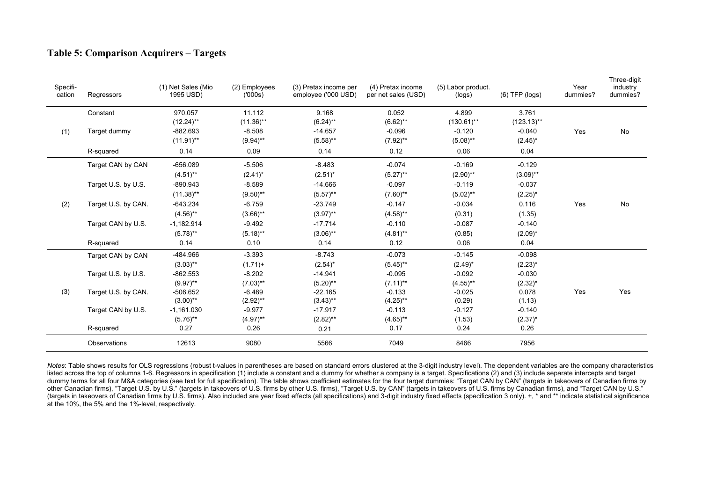## **Table 5: Comparison Acquirers – Targets**

| Specifi-<br>cation | Regressors          | (1) Net Sales (Mio<br>1995 USD) | (2) Employees<br>(000s) | (3) Pretax income per<br>employee ('000 USD) | (4) Pretax income<br>per net sales (USD) | (5) Labor product.<br>(logs) | $(6)$ TFP $(logs)$ | Year<br>dummies? | Three-digit<br>industry<br>dummies? |
|--------------------|---------------------|---------------------------------|-------------------------|----------------------------------------------|------------------------------------------|------------------------------|--------------------|------------------|-------------------------------------|
|                    | Constant            | 970.057                         | 11.112                  | 9.168                                        | 0.052                                    | 4.899                        | 3.761              |                  |                                     |
|                    |                     | $(12.24)$ **                    | $(11.36)$ **            | $(6.24)$ **                                  | $(6.62)$ **                              | $(130.61)$ **                | $(123.13)$ **      |                  |                                     |
| (1)                | Target dummy        | $-882.693$                      | $-8.508$                | $-14.657$                                    | $-0.096$                                 | $-0.120$                     | $-0.040$           | Yes              | No                                  |
|                    |                     | $(11.91)$ **                    | $(9.94)$ **             | $(5.58)$ **                                  | $(7.92)$ **                              | $(5.08)$ **                  | $(2.45)^*$         |                  |                                     |
|                    | R-squared           | 0.14                            | 0.09                    | 0.14                                         | 0.12                                     | 0.06                         | 0.04               |                  |                                     |
|                    | Target CAN by CAN   | $-656.089$                      | $-5.506$                | $-8.483$                                     | $-0.074$                                 | $-0.169$                     | $-0.129$           |                  |                                     |
|                    |                     | $(4.51)$ **                     | $(2.41)^*$              | $(2.51)^*$                                   | $(5.27)$ **                              | $(2.90)$ **                  | $(3.09)$ **        |                  |                                     |
|                    | Target U.S. by U.S. | $-890.943$                      | $-8.589$                | $-14.666$                                    | $-0.097$                                 | $-0.119$                     | $-0.037$           |                  |                                     |
|                    |                     | $(11.38)$ **                    | $(9.50)$ **             | $(5.57)$ **                                  | $(7.60)$ **                              | $(5.02)$ **                  | $(2.25)^*$         |                  |                                     |
| (2)                | Target U.S. by CAN. | $-643.234$                      | $-6.759$                | $-23.749$                                    | $-0.147$                                 | $-0.034$                     | 0.116              | Yes              | $\mathsf{No}$                       |
|                    |                     | $(4.56)$ **                     | $(3.66)$ **             | $(3.97)$ **                                  | $(4.58)$ **                              | (0.31)                       | (1.35)             |                  |                                     |
|                    | Target CAN by U.S.  | $-1,182.914$                    | $-9.492$                | $-17.714$                                    | $-0.110$                                 | $-0.087$                     | $-0.140$           |                  |                                     |
|                    |                     | $(5.78)$ **                     | $(5.18)$ **             | $(3.06)$ **                                  | $(4.81)$ **                              | (0.85)                       | $(2.09)^*$         |                  |                                     |
|                    | R-squared           | 0.14                            | 0.10                    | 0.14                                         | 0.12                                     | 0.06                         | 0.04               |                  |                                     |
|                    | Target CAN by CAN   | -484.966                        | $-3.393$                | $-8.743$                                     | $-0.073$                                 | $-0.145$                     | $-0.098$           |                  |                                     |
|                    |                     | $(3.03)$ **                     | $(1.71) +$              | $(2.54)^*$                                   | $(5.45)$ **                              | $(2.49)^*$                   | $(2.23)^{*}$       |                  |                                     |
|                    | Target U.S. by U.S. | $-862.553$                      | $-8.202$                | $-14.941$                                    | $-0.095$                                 | $-0.092$                     | $-0.030$           |                  |                                     |
|                    |                     | $(9.97)$ **                     | $(7.03)$ **             | $(5.20)$ **                                  | $(7.11)$ **                              | $(4.55)$ **                  | $(2.32)^{*}$       |                  |                                     |
| (3)                | Target U.S. by CAN. | $-506.652$                      | $-6.489$                | $-22.165$                                    | $-0.133$                                 | $-0.025$                     | 0.078              | Yes              | Yes                                 |
|                    |                     | $(3.00)$ **                     | $(2.92)$ **             | $(3.43)$ **                                  | $(4.25)$ **                              | (0.29)                       | (1.13)             |                  |                                     |
|                    | Target CAN by U.S.  | $-1,161.030$                    | $-9.977$                | $-17.917$                                    | $-0.113$                                 | $-0.127$                     | $-0.140$           |                  |                                     |
|                    |                     | $(5.76)$ **                     | $(4.97)$ **             | $(2.82)$ **                                  | $(4.65)$ **                              | (1.53)                       | $(2.37)^*$         |                  |                                     |
|                    | R-squared           | 0.27                            | 0.26                    | 0.21                                         | 0.17                                     | 0.24                         | 0.26               |                  |                                     |
|                    | Observations        | 12613                           | 9080                    | 5566                                         | 7049                                     | 8466                         | 7956               |                  |                                     |

*Notes*: Table shows results for OLS regressions (robust t-values in parentheses are based on standard errors clustered at the 3-digit industry level). The dependent variables are the company characteristics listed across the top of columns 1-6. Regressors in specification (1) include a constant and a dummy for whether a company is a target. Specifications (2) and (3) include separate intercepts and target dummy terms for all four M&A categories (see text for full specification). The table shows coefficient estimates for the four target dummies: "Target CAN by CAN" (targets in takeovers of Canadian firms by other Canadian firms), "Target U.S. by U.S." (targets in takeovers of U.S. firms by other U.S. firms), "Target U.S. by CAN" (targets in takeovers of U.S. firms by Canadian firms), and "Target CAN by U.S." (targets in takeovers of Canadian firms by U.S. firms). Also included are year fixed effects (all specifications) and 3-digit industry fixed effects (specification 3 only). +, \* and \*\* indicate statistical significance at the 10%, the 5% and the 1%-level, respectively.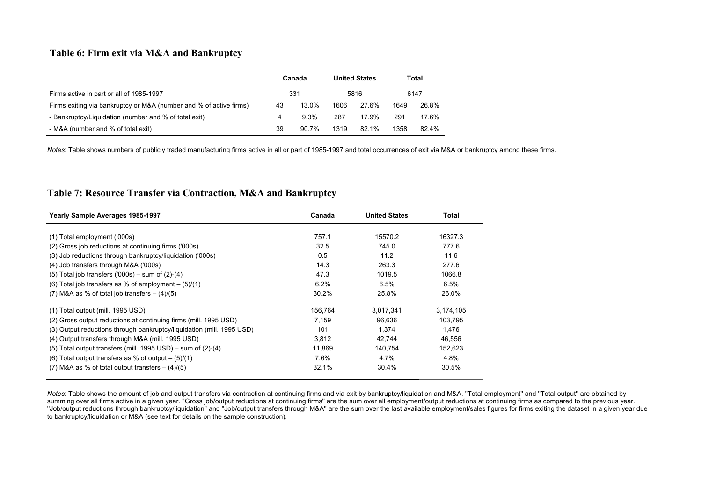## **Table 6: Firm exit via M&A and Bankruptcy**

|                                                                    |    | Canada |      | <b>United States</b> |      | Total |
|--------------------------------------------------------------------|----|--------|------|----------------------|------|-------|
| Firms active in part or all of 1985-1997                           |    | 331    |      | 5816                 |      | 6147  |
| Firms exiting via bankruptcy or M&A (number and % of active firms) | 43 | 13.0%  | 1606 | 27.6%                | 1649 | 26.8% |
| - Bankruptcy/Liquidation (number and % of total exit)              | 4  | 9.3%   | 287  | 17.9%                | 291  | 17.6% |
| - M&A (number and % of total exit)                                 | 39 | 90.7%  | 1319 | 82.1%                | 1358 | 82.4% |

*Notes*: Table shows numbers of publicly traded manufacturing firms active in all or part of 1985-1997 and total occurrences of exit via M&A or bankruptcy among these firms.

### **Table 7: Resource Transfer via Contraction, M&A and Bankruptcy**

| Yearly Sample Averages 1985-1997                                      | Canada  | <b>United States</b> | Total     |
|-----------------------------------------------------------------------|---------|----------------------|-----------|
|                                                                       |         |                      |           |
| (1) Total employment ('000s)                                          | 757.1   | 15570.2              | 16327.3   |
| (2) Gross job reductions at continuing firms ('000s)                  | 32.5    | 745.0                | 777.6     |
| (3) Job reductions through bankruptcy/liquidation ('000s)             | 0.5     | 11.2                 | 11.6      |
| (4) Job transfers through M&A ('000s)                                 | 14.3    | 263.3                | 277.6     |
| $(5)$ Total job transfers $(000s)$ – sum of $(2)-(4)$                 | 47.3    | 1019.5               | 1066.8    |
| (6) Total job transfers as % of employment $-$ (5)/(1)                | 6.2%    | 6.5%                 | 6.5%      |
| $(7)$ M&A as % of total job transfers $- (4)/(5)$                     | 30.2%   | 25.8%                | 26.0%     |
| (1) Total output (mill. 1995 USD)                                     | 156,764 | 3,017,341            | 3,174,105 |
| (2) Gross output reductions at continuing firms (mill. 1995 USD)      | 7,159   | 96,636               | 103,795   |
| (3) Output reductions through bankruptcy/liquidation (mill. 1995 USD) | 101     | 1.374                | 1.476     |
| (4) Output transfers through M&A (mill. 1995 USD)                     | 3,812   | 42,744               | 46,556    |
| (5) Total output transfers (mill. 1995 USD) - sum of (2)-(4)          | 11,869  | 140.754              | 152,623   |
| (6) Total output transfers as % of output $-$ (5)/(1)                 | 7.6%    | 4.7%                 | 4.8%      |
| $(7)$ M&A as % of total output transfers $- (4)/(5)$                  | 32.1%   | 30.4%                | 30.5%     |

*Notes*: Table shows the amount of job and output transfers via contraction at continuing firms and via exit by bankruptcy/liquidation and M&A. ''Total employment'' and ''Total output'' are obtained by summing over all firms active in a given year. "Gross job/output reductions at continuing firms" are the sum over all employment/output reductions at continuing firms as compared to the previous year. ''Job/output reductions through bankruptcy/liquidation'' and ''Job/output transfers through M&A'' are the sum over the last available employment/sales figures for firms exiting the dataset in a given year due to bankruptcy/liquidation or M&A (see text for details on the sample construction).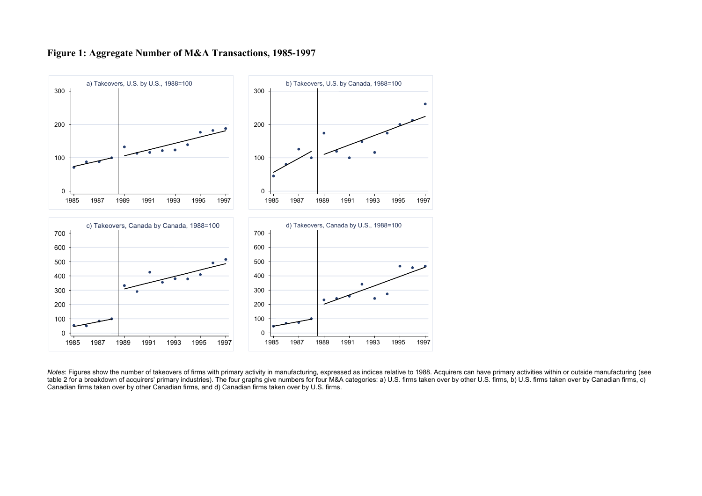

#### **Figure 1: Aggregate Number of M&A Transactions, 1985-1997**

*Notes*: Figures show the number of takeovers of firms with primary activity in manufacturing, expressed as indices relative to 1988. Acquirers can have primary activities within or outside manufacturing (see table 2 for a breakdown of acquirers' primary industries). The four graphs give numbers for four M&A categories: a) U.S. firms taken over by other U.S. firms, b) U.S. firms taken over by Canadian firms, c) Canadian firms taken over by other Canadian firms, and d) Canadian firms taken over by U.S. firms.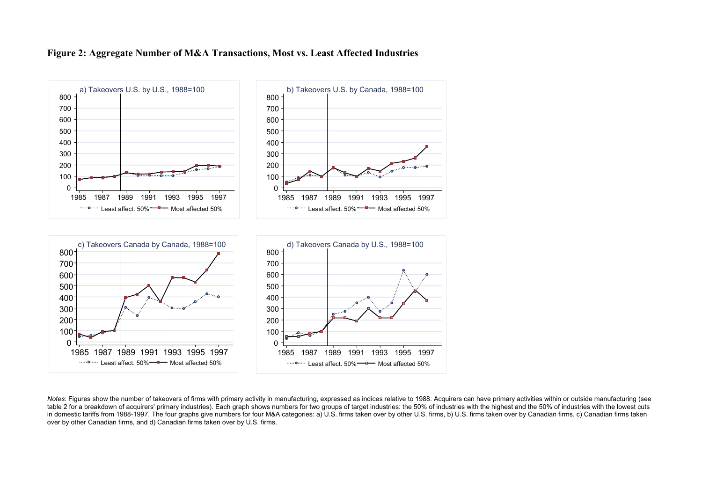# **Figure 2: Aggregate Number of M&A Transactions, Most vs. Least Affected Industries**



*Notes*: Figures show the number of takeovers of firms with primary activity in manufacturing, expressed as indices relative to 1988. Acquirers can have primary activities within or outside manufacturing (see table 2 for a breakdown of acquirers' primary industries). Each graph shows numbers for two groups of target industries: the 50% of industries with the highest and the 50% of industries with the highest and the 50% of indu in domestic tariffs from 1988-1997. The four graphs give numbers for four M&A categories: a) U.S. firms taken over by other U.S. firms, b) U.S. firms taken over by Canadian firms, c) Canadian firms, c) Canadian firms taken over by other Canadian firms, and d) Canadian firms taken over by U.S. firms.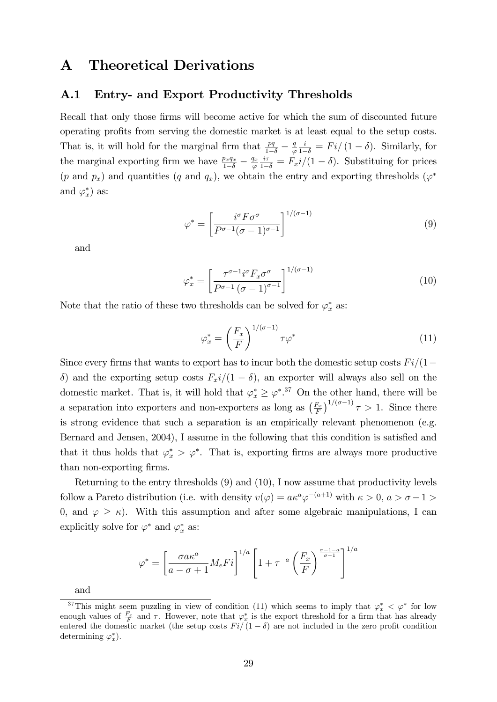# A Theoretical Derivations

## A.1 Entry- and Export Productivity Thresholds

Recall that only those firms will become active for which the sum of discounted future operating profits from serving the domestic market is at least equal to the setup costs. That is, it will hold for the marginal firm that  $\frac{pq}{1-\delta} - \frac{q}{\varphi}$  $\varphi$  $\frac{i}{1-\delta} = Fi/(1-\delta)$ . Similarly, for the marginal exporting firm we have  $\frac{p_xq_x}{1-\delta} - \frac{q_x}{\varphi}$  $\varphi$  $\frac{i\tau}{1-\delta} = F_x i/(1-\delta)$ . Substituing for prices  $(p \text{ and } p_x)$  and quantities  $(q \text{ and } q_x)$ , we obtain the entry and exporting thresholds  $(\varphi^*)$ and  $\varphi_x^*$  as:

$$
\varphi^* = \left[\frac{i^{\sigma} F \sigma^{\sigma}}{P^{\sigma-1} (\sigma - 1)^{\sigma-1}}\right]^{1/(\sigma - 1)}
$$
\n(9)

and

$$
\varphi_x^* = \left[ \frac{\tau^{\sigma - 1} i^{\sigma} F_x \sigma^{\sigma}}{P^{\sigma - 1} \left( \sigma - 1 \right)^{\sigma - 1}} \right]^{1/(\sigma - 1)}
$$
(10)

Note that the ratio of these two thresholds can be solved for  $\varphi_x^*$  as:

$$
\varphi_x^* = \left(\frac{F_x}{F}\right)^{1/(\sigma - 1)} \tau \varphi^* \tag{11}
$$

Since every firms that wants to export has to incur both the domestic setup costs  $Fi/(1-\epsilon)$  $\delta$ ) and the exporting setup costs  $F_x$ i/(1 –  $\delta$ ), an exporter will always also sell on the domestic market. That is, it will hold that  $\varphi_x^* \geq \varphi^{*,37}$  On the other hand, there will be a separation into exporters and non-exporters as long as  $\left(\frac{F_x}{F}\right)$  $\left(\frac{F_x}{F}\right)^{1/(\sigma-1)}\tau>1$ . Since there is strong evidence that such a separation is an empirically relevant phenomenon (e.g. Bernard and Jensen, 2004), I assume in the following that this condition is satisfied and that it thus holds that  $\varphi_x^* > \varphi^*$ . That is, exporting firms are always more productive than non-exporting firms.

Returning to the entry thresholds (9) and (10), I now assume that productivity levels follow a Pareto distribution (i.e. with density  $v(\varphi) = a\kappa^a\varphi^{-(a+1)}$  with  $\kappa > 0$ ,  $a > \sigma - 1 >$ 0, and  $\varphi \geq \kappa$ ). With this assumption and after some algebraic manipulations, I can explicitly solve for  $\varphi^*$  and  $\varphi_x^*$  as:

$$
\varphi^* = \left[\frac{\sigma a \kappa^a}{a - \sigma + 1} M_e F i\right]^{1/a} \left[1 + \tau^{-a} \left(\frac{F_x}{F}\right)^{\frac{\sigma - 1 - a}{\sigma - 1}}\right]^{1/a}
$$

and

<sup>&</sup>lt;sup>37</sup>This might seem puzzling in view of condition (11) which seems to imply that  $\varphi_x^* < \varphi^*$  for low enough values of  $\frac{F_x}{F}$  and  $\tau$ . However, note that  $\varphi_x^*$  is the export threshold for a firm that has already entered the domestic market (the setup costs  $Fi/(1 - \delta)$  are not included in the zero profit condition determining  $\varphi_x^*$ ).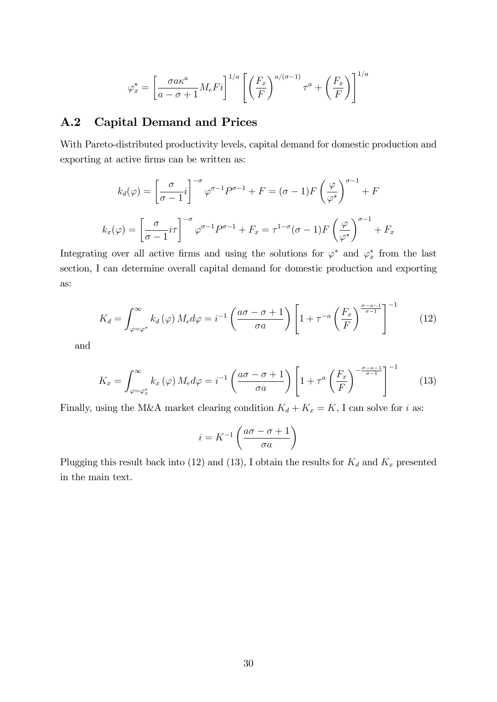$$
\varphi_x^* = \left[\frac{\sigma a \kappa^a}{a - \sigma + 1} M_e F i\right]^{1/a} \left[\left(\frac{F_x}{F}\right)^{a/(\sigma - 1)} \tau^a + \left(\frac{F_x}{F}\right)\right]^{1/a}
$$

## A.2 Capital Demand and Prices

With Pareto-distributed productivity levels, capital demand for domestic production and exporting at active firms can be written as:

$$
k_d(\varphi) = \left[\frac{\sigma}{\sigma - 1}i\right]^{-\sigma} \varphi^{\sigma - 1} P^{\sigma - 1} + F = (\sigma - 1)F \left(\frac{\varphi}{\varphi^*}\right)^{\sigma - 1} + F
$$

$$
k_x(\varphi) = \left[\frac{\sigma}{\sigma - 1}i\tau\right]^{-\sigma} \varphi^{\sigma - 1} P^{\sigma - 1} + F_x = \tau^{1 - \sigma} (\sigma - 1)F \left(\frac{\varphi}{\varphi^*}\right)^{\sigma - 1} + F_x
$$

Integrating over all active firms and using the solutions for  $\varphi^*$  and  $\varphi^*_x$  from the last section, I can determine overall capital demand for domestic production and exporting as:

$$
K_d = \int_{\varphi = \varphi^*}^{\infty} k_d(\varphi) M_e d\varphi = i^{-1} \left( \frac{a\sigma - \sigma + 1}{\sigma a} \right) \left[ 1 + \tau^{-a} \left( \frac{F_x}{F} \right)^{\frac{\sigma - a - 1}{\sigma - 1}} \right]^{-1} \tag{12}
$$

and

$$
K_x = \int_{\varphi = \varphi_x^*}^{\infty} k_x(\varphi) M_e d\varphi = i^{-1} \left( \frac{a\sigma - \sigma + 1}{\sigma a} \right) \left[ 1 + \tau^a \left( \frac{F_x}{F} \right)^{-\frac{\sigma - a - 1}{\sigma - 1}} \right]^{-1} \tag{13}
$$

Finally, using the M&A market clearing condition  $K_d + K_x = K$ , I can solve for i as:

$$
i = K^{-1} \left( \frac{a\sigma - \sigma + 1}{\sigma a} \right)
$$

Plugging this result back into (12) and (13), I obtain the results for  $K_d$  and  $K_x$  presented in the main text.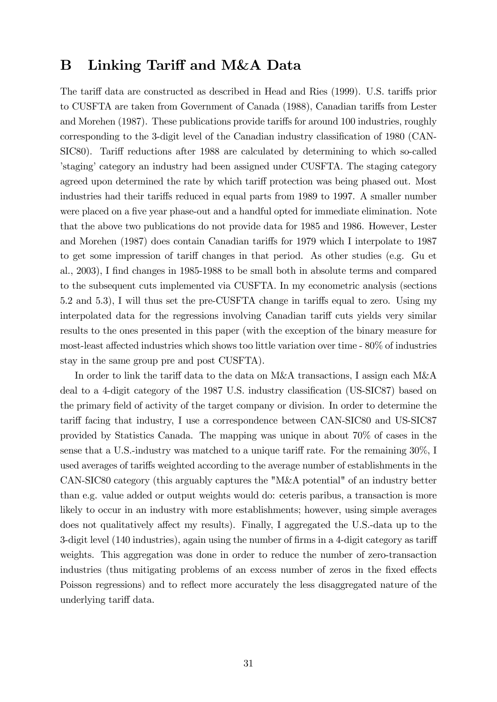# B Linking Tariff and M&A Data

The tariff data are constructed as described in Head and Ries (1999). U.S. tariffs prior to CUSFTA are taken from Government of Canada (1988), Canadian tariffs from Lester and Morehen (1987). These publications provide tariffs for around 100 industries, roughly corresponding to the 3-digit level of the Canadian industry classification of 1980 (CAN-SIC80). Tariff reductions after 1988 are calculated by determining to which so-called Istaging category an industry had been assigned under CUSFTA. The staging category agreed upon determined the rate by which tariff protection was being phased out. Most industries had their tariffs reduced in equal parts from 1989 to 1997. A smaller number were placed on a five year phase-out and a handful opted for immediate elimination. Note that the above two publications do not provide data for 1985 and 1986. However, Lester and Morehen (1987) does contain Canadian tariffs for 1979 which I interpolate to 1987 to get some impression of tariff changes in that period. As other studies (e.g. Gu et al., 2003), I find changes in 1985-1988 to be small both in absolute terms and compared to the subsequent cuts implemented via CUSFTA. In my econometric analysis (sections 5.2 and 5.3), I will thus set the pre-CUSFTA change in tariffs equal to zero. Using my interpolated data for the regressions involving Canadian tariff cuts yields very similar results to the ones presented in this paper (with the exception of the binary measure for most-least affected industries which shows too little variation over time  $-80\%$  of industries stay in the same group pre and post CUSFTA).

In order to link the tariff data to the data on M&A transactions, I assign each M&A deal to a 4-digit category of the 1987 U.S. industry classification (US-SIC87) based on the primary field of activity of the target company or division. In order to determine the tariff facing that industry, I use a correspondence between CAN-SIC80 and US-SIC87 provided by Statistics Canada. The mapping was unique in about 70% of cases in the sense that a U.S.-industry was matched to a unique tariff rate. For the remaining  $30\%$ , I used averages of tariffs weighted according to the average number of establishments in the CAN-SIC80 category (this arguably captures the "M&A potential" of an industry better than e.g. value added or output weights would do: ceteris paribus, a transaction is more likely to occur in an industry with more establishments; however, using simple averages does not qualitatively affect my results). Finally, I aggregated the U.S.-data up to the 3-digit level (140 industries), again using the number of firms in a 4-digit category as tariff weights. This aggregation was done in order to reduce the number of zero-transaction industries (thus mitigating problems of an excess number of zeros in the fixed effects Poisson regressions) and to reflect more accurately the less disaggregated nature of the underlying tariff data.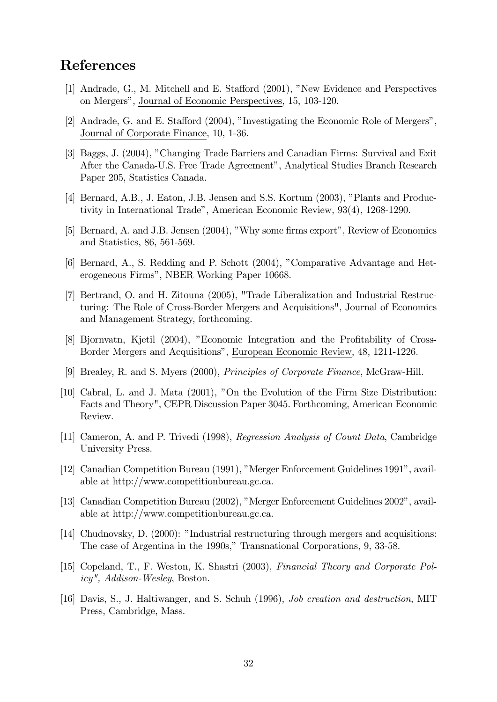# References

- [1] Andrade, G., M. Mitchell and E. Stafford (2001), "New Evidence and Perspectives on Mergersî, Journal of Economic Perspectives, 15, 103-120.
- [2] Andrade, G. and E. Stafford  $(2004)$ , "Investigating the Economic Role of Mergers", Journal of Corporate Finance, 10, 1-36.
- [3] Baggs, J. (2004), îChanging Trade Barriers and Canadian Firms: Survival and Exit After the Canada-U.S. Free Trade Agreement", Analytical Studies Branch Research Paper 205, Statistics Canada.
- [4] Bernard, A.B., J. Eaton, J.B. Jensen and S.S. Kortum (2003), "Plants and Productivity in International Trade", American Economic Review, 93(4), 1268-1290.
- [5] Bernard, A. and J.B. Jensen (2004), "Why some firms export", Review of Economics and Statistics, 86, 561-569.
- [6] Bernard, A., S. Redding and P. Schott (2004), "Comparative Advantage and Heterogeneous Firmsî, NBER Working Paper 10668.
- [7] Bertrand, O. and H. Zitouna (2005), "Trade Liberalization and Industrial Restructuring: The Role of Cross-Border Mergers and Acquisitions", Journal of Economics and Management Strategy, forthcoming.
- [8] Bjornvatn, Kjetil (2004), "Economic Integration and the Profitability of Cross-Border Mergers and Acquisitions", European Economic Review, 48, 1211-1226.
- [9] Brealey, R. and S. Myers (2000), Principles of Corporate Finance, McGraw-Hill.
- [10] Cabral, L. and J. Mata (2001), "On the Evolution of the Firm Size Distribution: Facts and Theory", CEPR Discussion Paper 3045. Forthcoming, American Economic Review.
- [11] Cameron, A. and P. Trivedi (1998), Regression Analysis of Count Data, Cambridge University Press.
- [12] Canadian Competition Bureau (1991), "Merger Enforcement Guidelines 1991", available at http://www.competitionbureau.gc.ca.
- [13] Canadian Competition Bureau (2002), "Merger Enforcement Guidelines 2002", available at http://www.competitionbureau.gc.ca.
- [14] Chudnovsky, D. (2000): "Industrial restructuring through mergers and acquisitions: The case of Argentina in the 1990s," Transnational Corporations, 9, 33-58.
- [15] Copeland, T., F. Weston, K. Shastri (2003), Financial Theory and Corporate Policy", Addison-Wesley, Boston.
- [16] Davis, S., J. Haltiwanger, and S. Schuh (1996), Job creation and destruction, MIT Press, Cambridge, Mass.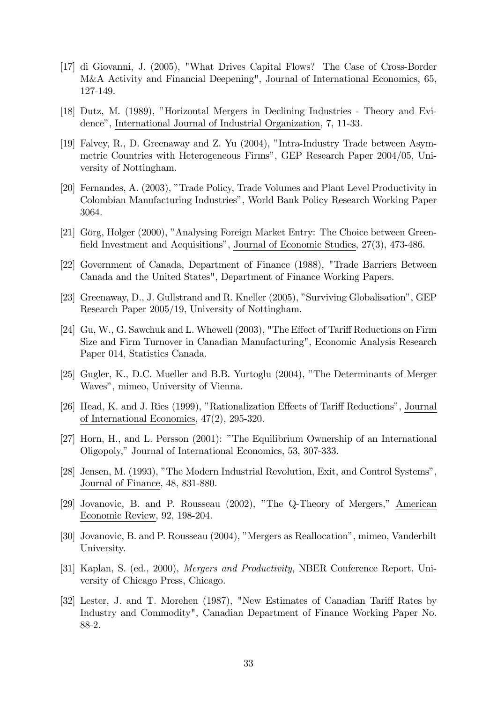- [17] di Giovanni, J. (2005), "What Drives Capital Flows? The Case of Cross-Border M&A Activity and Financial Deepening", Journal of International Economics, 65, 127-149.
- [18] Dutz, M. (1989), "Horizontal Mergers in Declining Industries Theory and Evidenceî, International Journal of Industrial Organization, 7, 11-33.
- [19] Falvey, R., D. Greenaway and Z. Yu (2004), "Intra-Industry Trade between Asymmetric Countries with Heterogeneous Firmsî, GEP Research Paper 2004/05, University of Nottingham.
- [20] Fernandes, A. (2003), "Trade Policy, Trade Volumes and Plant Level Productivity in Colombian Manufacturing Industriesî, World Bank Policy Research Working Paper 3064.
- [21] Görg, Holger (2000), "Analysing Foreign Market Entry: The Choice between Greenfield Investment and Acquisitions", Journal of Economic Studies, 27(3), 473-486.
- [22] Government of Canada, Department of Finance (1988), "Trade Barriers Between Canada and the United States", Department of Finance Working Papers.
- [23] Greenaway, D., J. Gullstrand and R. Kneller (2005), "Surviving Globalisation", GEP Research Paper 2005/19, University of Nottingham.
- [24] Gu, W., G. Sawchuk and L. Whewell  $(2003)$ , "The Effect of Tariff Reductions on Firm Size and Firm Turnover in Canadian Manufacturing", Economic Analysis Research Paper 014, Statistics Canada.
- [25] Gugler, K., D.C. Mueller and B.B. Yurtoglu (2004), "The Determinants of Merger Waves", mimeo, University of Vienna.
- [26] Head, K. and J. Ries (1999), "Rationalization Effects of Tariff Reductions", Journal of International Economics, 47(2), 295-320.
- [27] Horn, H., and L. Persson (2001): "The Equilibrium Ownership of an International Oligopoly," Journal of International Economics, 53, 307-333.
- [28] Jensen, M. (1993), "The Modern Industrial Revolution, Exit, and Control Systems", Journal of Finance, 48, 831-880.
- [29] Jovanovic, B. and P. Rousseau (2002), "The Q-Theory of Mergers," American Economic Review, 92, 198-204.
- [30] Jovanovic, B. and P. Rousseau (2004), "Mergers as Reallocation", mimeo, Vanderbilt University.
- [31] Kaplan, S. (ed., 2000), Mergers and Productivity, NBER Conference Report, University of Chicago Press, Chicago.
- [32] Lester, J. and T. Morehen (1987), "New Estimates of Canadian Tariff Rates by Industry and Commodity", Canadian Department of Finance Working Paper No. 88-2.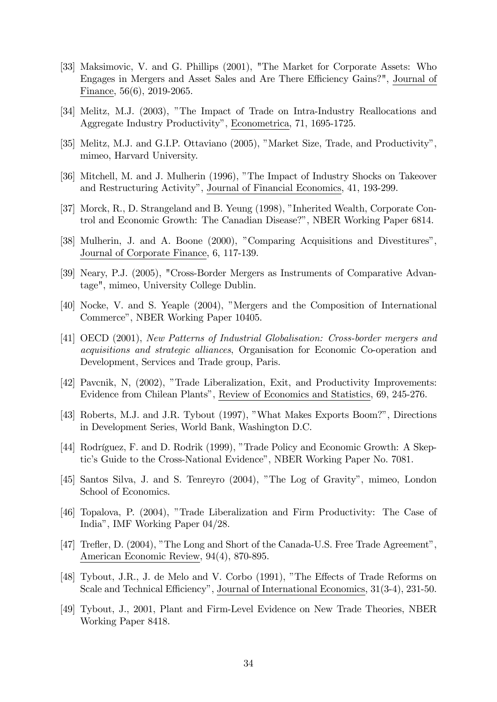- [33] Maksimovic, V. and G. Phillips (2001), "The Market for Corporate Assets: Who Engages in Mergers and Asset Sales and Are There Efficiency Gains?", Journal of Finance, 56(6), 2019-2065.
- [34] Melitz, M.J. (2003), "The Impact of Trade on Intra-Industry Reallocations and Aggregate Industry Productivityî, Econometrica, 71, 1695-1725.
- [35] Melitz, M.J. and G.I.P. Ottaviano (2005), "Market Size, Trade, and Productivity", mimeo, Harvard University.
- [36] Mitchell, M. and J. Mulherin (1996), "The Impact of Industry Shocks on Takeover and Restructuring Activityî, Journal of Financial Economics, 41, 193-299.
- [37] Morck, R., D. Strangeland and B. Yeung (1998), "Inherited Wealth, Corporate Control and Economic Growth: The Canadian Disease?", NBER Working Paper 6814.
- [38] Mulherin, J. and A. Boone (2000), "Comparing Acquisitions and Divestitures", Journal of Corporate Finance, 6, 117-139.
- [39] Neary, P.J. (2005), "Cross-Border Mergers as Instruments of Comparative Advantage", mimeo, University College Dublin.
- [40] Nocke, V. and S. Yeaple (2004), "Mergers and the Composition of International Commerce", NBER Working Paper 10405.
- [41] OECD (2001), New Patterns of Industrial Globalisation: Cross-border mergers and acquisitions and strategic alliances, Organisation for Economic Co-operation and Development, Services and Trade group, Paris.
- [42] Pavcnik, N, (2002), "Trade Liberalization, Exit, and Productivity Improvements: Evidence from Chilean Plantsî, Review of Economics and Statistics, 69, 245-276.
- [43] Roberts, M.J. and J.R. Tybout (1997), "What Makes Exports Boom?", Directions in Development Series, World Bank, Washington D.C.
- [44] Rodríguez, F. and D. Rodrik (1999), "Trade Policy and Economic Growth: A Skeptic's Guide to the Cross-National Evidence", NBER Working Paper No. 7081.
- [45] Santos Silva, J. and S. Tenreyro (2004), "The Log of Gravity", mimeo, London School of Economics.
- [46] Topalova, P. (2004), îTrade Liberalization and Firm Productivity: The Case of Indiaî, IMF Working Paper 04/28.
- [47] Trefler, D. (2004), "The Long and Short of the Canada-U.S. Free Trade Agreement", American Economic Review, 94(4), 870-895.
- [48] Tybout, J.R., J. de Melo and V. Corbo (1991), "The Effects of Trade Reforms on Scale and Technical Efficiency", Journal of International Economics, 31(3-4), 231-50.
- [49] Tybout, J., 2001, Plant and Firm-Level Evidence on New Trade Theories, NBER Working Paper 8418.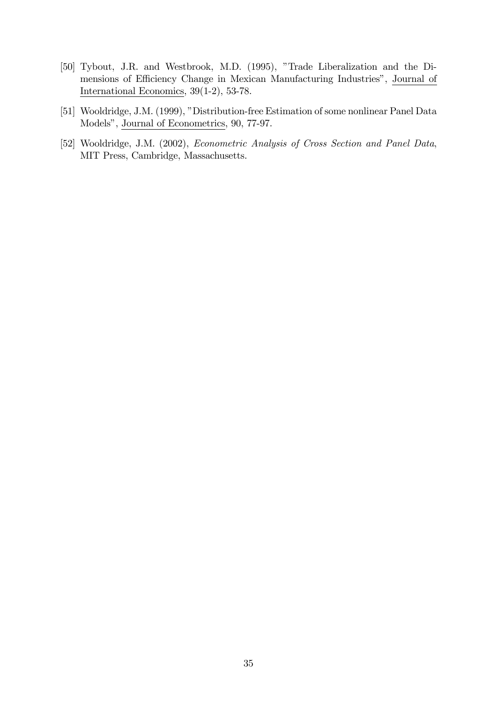- [50] Tybout, J.R. and Westbrook, M.D. (1995), "Trade Liberalization and the Dimensions of Efficiency Change in Mexican Manufacturing Industries", Journal of International Economics, 39(1-2), 53-78.
- [51] Wooldridge, J.M. (1999), "Distribution-free Estimation of some nonlinear Panel Data Models", Journal of Econometrics, 90, 77-97.
- [52] Wooldridge, J.M. (2002), Econometric Analysis of Cross Section and Panel Data, MIT Press, Cambridge, Massachusetts.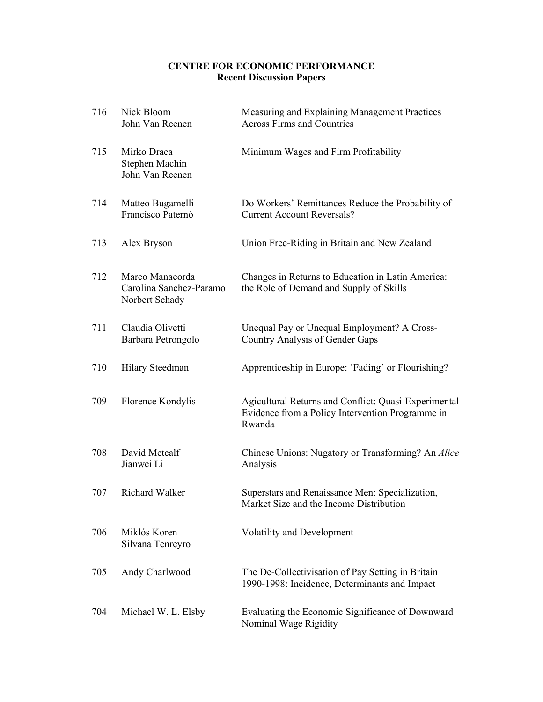## **CENTRE FOR ECONOMIC PERFORMANCE Recent Discussion Papers**

| 716 | Nick Bloom<br>John Van Reenen                                | Measuring and Explaining Management Practices<br><b>Across Firms and Countries</b>                                 |
|-----|--------------------------------------------------------------|--------------------------------------------------------------------------------------------------------------------|
| 715 | Mirko Draca<br>Stephen Machin<br>John Van Reenen             | Minimum Wages and Firm Profitability                                                                               |
| 714 | Matteo Bugamelli<br>Francisco Paternò                        | Do Workers' Remittances Reduce the Probability of<br><b>Current Account Reversals?</b>                             |
| 713 | Alex Bryson                                                  | Union Free-Riding in Britain and New Zealand                                                                       |
| 712 | Marco Manacorda<br>Carolina Sanchez-Paramo<br>Norbert Schady | Changes in Returns to Education in Latin America:<br>the Role of Demand and Supply of Skills                       |
| 711 | Claudia Olivetti<br>Barbara Petrongolo                       | Unequal Pay or Unequal Employment? A Cross-<br>Country Analysis of Gender Gaps                                     |
| 710 | Hilary Steedman                                              | Apprenticeship in Europe: 'Fading' or Flourishing?                                                                 |
| 709 | Florence Kondylis                                            | Agicultural Returns and Conflict: Quasi-Experimental<br>Evidence from a Policy Intervention Programme in<br>Rwanda |
| 708 | David Metcalf<br>Jianwei Li                                  | Chinese Unions: Nugatory or Transforming? An Alice<br>Analysis                                                     |
| 707 | Richard Walker                                               | Superstars and Renaissance Men: Specialization,<br>Market Size and the Income Distribution                         |
| 706 | Miklós Koren<br>Silvana Tenreyro                             | <b>Volatility and Development</b>                                                                                  |
| 705 | Andy Charlwood                                               | The De-Collectivisation of Pay Setting in Britain<br>1990-1998: Incidence, Determinants and Impact                 |
| 704 | Michael W. L. Elsby                                          | Evaluating the Economic Significance of Downward<br>Nominal Wage Rigidity                                          |